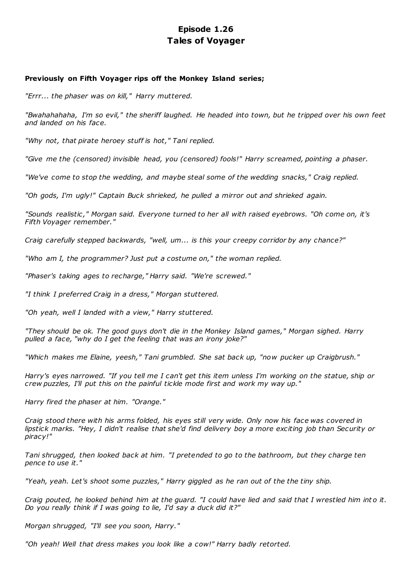# **Episode 1.26 Tales of Voyager**

## **Previously on Fifth Voyager rips off the Monkey Island series;**

*"Errr... the phaser was on kill," Harry muttered.*

*"Bwahahahaha, I'm so evil," the sheriff laughed. He headed into town, but he tripped over his own feet and landed on his face.*

*"Why not, that pirate heroey stuff is hot," Tani replied.*

*"Give me the (censored) invisible head, you (censored) fools!" Harry screamed, pointing a phaser.*

*"We've come to stop the wedding, and maybe steal some of the wedding snacks," Craig replied.*

*"Oh gods, I'm ugly!" Captain Buck shrieked, he pulled a mirror out and shrieked again.*

*"Sounds realistic ," Morgan said. Everyone turned to her all with raised eyebrows. "Oh come on, it's Fifth Voyager remember."*

*Craig carefully stepped backwards, "well, um... is this your creepy corridor by any chance?"*

*"Who am I, the programmer? Just put a costume on," the woman replied.*

*"Phaser's taking ages to recharge," Harry said. "We're screwed."*

*"I think I preferred Craig in a dress," Morgan stuttered.*

*"Oh yeah, well I landed with a view," Harry stuttered.*

*"They should be ok. The good guys don't die in the Monkey Island games," Morgan sighed. Harry pulled a face, "why do I get the feeling that was an irony joke?"*

*"Which makes me Elaine, yeesh," Tani grumbled. She sat back up, "now pucker up Craigbrush."*

*Harry's eyes narrowed. "If you tell me I can't get this item unless I'm working on the statue, ship or crew puzzles, I'll put this on the painful tickle mode first and work my way up."*

*Harry fired the phaser at him. "Orange."*

*Craig stood there with his arms folded, his eyes still very wide. Only now his face was covered in lipstick marks. "Hey, I didn't realise that she'd find delivery boy a more exciting job than Security or piracy!"*

*Tani shrugged, then looked back at him. "I pretended to go to the bathroom, but they charge ten pence to use it."*

*"Yeah, yeah. Let's shoot some puzzles," Harry giggled as he ran out of the the tiny ship.*

*Craig pouted, he looked behind him at the guard. "I could have lied and said that I wrestled him into it. Do you really think if I was going to lie, I'd say a duck did it?"*

*Morgan shrugged, "I'll see you soon, Harry."*

*"Oh yeah! Well that dress makes you look like a cow!" Harry badly retorted.*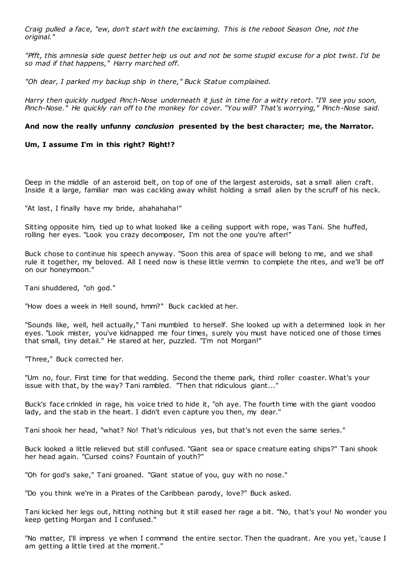*Craig pulled a face, "ew, don't start with the exclaiming. This is the reboot Season One, not the original."*

*"Pfft, this amnesia side quest better help us out and not be some stupid excuse for a plot twist. I'd be so mad if that happens," Harry marched off.*

*"Oh dear, I parked my backup ship in there," Buck Statue complained.*

*Harry then quickly nudged Pinch-Nose underneath it just in time for a witty retort. "I'll see you soon, Pinch-Nose." He quickly ran off to the monkey for cover. "You will? That's worrying," Pinch-Nose said.*

#### **And now the really unfunny** *conclusion* **presented by the best character; me, the Narrator.**

**Um, I assume I'm in this right? Right!?**

Deep in the middle of an asteroid belt, on top of one of the largest asteroids, sat a small alien craft. Inside it a large, familiar man was cackling away whilst holding a small alien by the scruff of his neck.

"At last, I finally have my bride, ahahahaha!"

Sitting opposite him, tied up to what looked like a ceiling support with rope, was Tani. She huffed, rolling her eyes. "Look you crazy decomposer, I'm not the one you're after!"

Buck chose to continue his speech anyway. "Soon this area of space will belong to me, and we shall rule it together, my beloved. All I need now is these little vermin to complete the rites, and we'll be off on our honeymoon."

Tani shuddered, "oh god."

"How does a week in Hell sound, hmm?" Buck cackled at her.

"Sounds like, well, hell actually," Tani mumbled to herself. She looked up with a determined look in her eyes. "Look mister, you've kidnapped me four times, surely you must have noticed one of those times that small, tiny detail." He stared at her, puzzled. "I'm not Morgan!"

"Three," Buck corrected her.

"Um no, four. First time for that wedding. Second the theme park, third roller coaster. What's your issue with that, by the way? Tani rambled. "Then that ridiculous giant..."

Buck's face crinkled in rage, his voice tried to hide it, "oh aye. The fourth time with the giant voodoo lady, and the stab in the heart. I didn't even capture you then, my dear."

Tani shook her head, "what? No! That's ridiculous yes, but that's not even the same series."

Buck looked a little relieved but still confused. "Giant sea or space creature eating ships?" Tani shook her head again. "Cursed coins? Fountain of youth?"

"Oh for god's sake," Tani groaned. "Giant statue of you, guy with no nose."

"Do you think we're in a Pirates of the Caribbean parody, love?" Buck asked.

Tani kicked her legs out, hitting nothing but it still eased her rage a bit. "No, t hat's you! No wonder you keep getting Morgan and I confused."

"No matter, I'll impress ye when I command the entire sector. Then the quadrant. Are you yet, 'cause I am getting a little tired at the moment."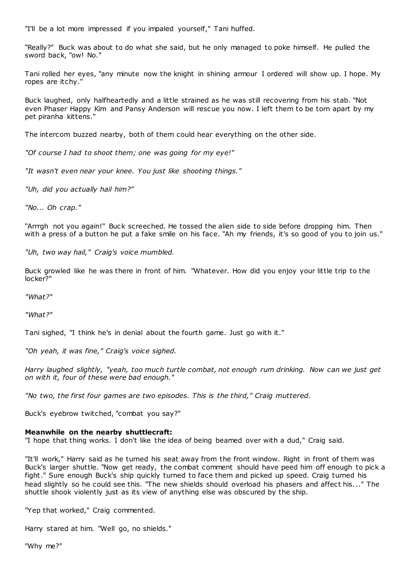"I'll be a lot more impressed if you impaled yourself," Tani huffed.

"Really?" Buck was about to do what she said, but he only managed to poke himself. He pulled the sword back, "ow! No."

Tani rolled her eyes, "any minute now the knight in shining armour I ordered will show up. I hope. My ropes are itchy."

Buck laughed, only halfheartedly and a little strained as he was still recovering from his stab. "Not even Phaser Happy Kim and Pansy Anderson will rescue you now. I left them to be torn apart by my pet piranha kittens."

The intercom buzzed nearby, both of them could hear everything on the other side.

*"Of course I had to shoot them; one was going for my eye!"*

*"It wasn't even near your knee. You just like shooting things."*

*"Uh, did you actually hail him?"*

*"No... Oh crap."*

"Arrrgh not you again!" Buck screeched. He tossed the alien side to side before dropping him. Then with a press of a button he put a fake smile on his face. "Ah my friends, it's so good of you to join us."

*"Uh, two way hail," Craig's voice mumbled.*

Buck growled like he was there in front of him. "Whatever. How did you enjoy your little trip to the locker?"

*"What?"*

*"What?"*

Tani sighed, "I think he's in denial about the fourth game. Just go with it."

*"Oh yeah, it was fine," Craig's voice sighed.*

*Harry laughed slightly, "yeah, too much turtle combat, not enough rum drinking. Now can we just get on with it, four of these were bad enough."*

*"No two, the first four games are two episodes. This is the third," Craig muttered.*

Buck's eyebrow twitched, "combat you say?"

#### **Meanwhile on the nearby shuttlecraft:**

"I hope that thing works. I don't like the idea of being beamed over with a dud," Craig said.

"It'll work," Harry said as he turned his seat away from the front window. Right in front of them was Buck's larger shuttle. "Now get ready, the combat comment should have peed him off enough to pick a fight." Sure enough Buck's ship quickly turned to face them and picked up speed. Craig turned his head slightly so he could see this. "The new shields should overload his phasers and affect his..." The shuttle shook violently just as its view of anything else was obscured by the ship.

"Yep that worked," Craig commented.

Harry stared at him. "Well go, no shields."

"Why me?"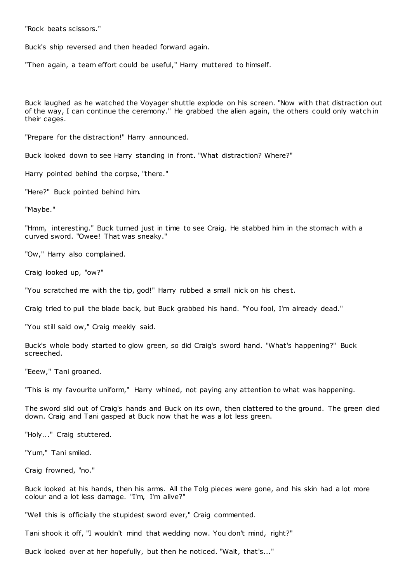"Rock beats scissors."

Buck's ship reversed and then headed forward again.

"Then again, a team effort could be useful," Harry muttered to himself.

Buck laughed as he watched the Voyager shuttle explode on his screen. "Now with that distraction out of the way, I can continue the ceremony." He grabbed the alien again, the others could only watch in their cages.

"Prepare for the distraction!" Harry announced.

Buck looked down to see Harry standing in front. "What distraction? Where?"

Harry pointed behind the corpse, "there."

"Here?" Buck pointed behind him.

"Maybe."

"Hmm, interesting." Buck turned just in time to see Craig. He stabbed him in the stomach with a curved sword. "Owee! That was sneaky."

"Ow," Harry also complained.

Craig looked up, "ow?"

"You scratched me with the tip, god!" Harry rubbed a small nick on his chest.

Craig tried to pull the blade back, but Buck grabbed his hand. "You fool, I'm already dead."

"You still said ow," Craig meekly said.

Buck's whole body started to glow green, so did Craig's sword hand. "What's happening?" Buck screeched.

"Eeew," Tani groaned.

"This is my favourite uniform," Harry whined, not paying any attention to what was happening.

The sword slid out of Craig's hands and Buck on its own, then clattered to the ground. The green died down. Craig and Tani gasped at Buck now that he was a lot less green.

"Holy..." Craig stuttered.

"Yum," Tani smiled.

Craig frowned, "no."

Buck looked at his hands, then his arms. All the Tolg pieces were gone, and his skin had a lot more colour and a lot less damage. "I'm, I'm alive?"

"Well this is officially the stupidest sword ever," Craig commented.

Tani shook it off, "I wouldn't mind that wedding now. You don't mind, right?"

Buck looked over at her hopefully, but then he noticed. "Wait, that's..."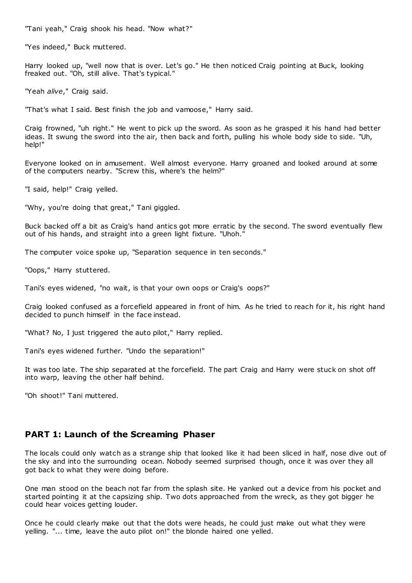"Tani yeah," Craig shook his head. "Now what?"

"Yes indeed," Buck muttered.

Harry looked up, "well now that is over. Let's go." He then noticed Craig pointing at Buck, looking freaked out. "Oh, still alive. That's typical."

"Yeah *alive*," Craig said.

"That's what I said. Best finish the job and vamoose," Harry said.

Craig frowned, "uh right." He went to pick up the sword. As soon as he grasped it his hand had better ideas. It swung the sword into the air, then back and forth, pulling his whole body side to side. "Uh, help!"

Everyone looked on in amusement. Well almost everyone. Harry groaned and looked around at some of the computers nearby. "Screw this, where's the helm?"

"I said, help!" Craig yelled.

"Why, you're doing that great," Tani giggled.

Buck backed off a bit as Craig's hand antics got more erratic by the second. The sword eventually flew out of his hands, and straight into a green light fixture. "Uhoh."

The computer voice spoke up, "Separation sequence in ten seconds."

"Oops," Harry stuttered.

Tani's eyes widened, "no wait, is that your own oops or Craig's oops?"

Craig looked confused as a forcefield appeared in front of him. As he tried to reach for it, his right hand decided to punch himself in the face instead.

"What? No, I just triggered the auto pilot," Harry replied.

Tani's eyes widened further. "Undo the separation!"

It was too late. The ship separated at the forcefield. The part Craig and Harry were stuck on shot off into warp, leaving the other half behind.

"Oh shoot!" Tani muttered.

## **PART 1: Launch of the Screaming Phaser**

The locals could only watch as a strange ship that looked like it had been sliced in half, nose dive out of the sky and into the surrounding ocean. Nobody seemed surprised though, once it was over they all got back to what they were doing before.

One man stood on the beach not far from the splash site. He yanked out a device from his pocket and started pointing it at the capsizing ship. Two dots approached from the wreck, as they got bigger he could hear voices getting louder.

Once he could clearly make out that the dots were heads, he could just make out what they were yelling. "... time, leave the auto pilot on!" the blonde haired one yelled.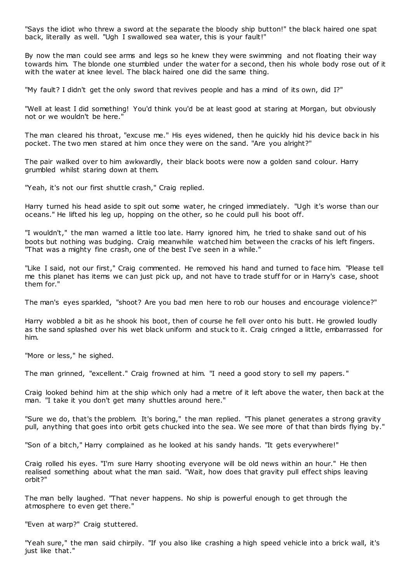"Says the idiot who threw a sword at the separate the bloody ship button!" the black haired one spat back, literally as well. "Ugh I swallowed sea water, this is your fault!"

By now the man could see arms and legs so he knew they were swimming and not floating their way towards him. The blonde one stumbled under the water for a second, then his whole body rose out of it with the water at knee level. The black haired one did the same thing.

"My fault? I didn't get the only sword that revives people and has a mind of its own, did I?"

"Well at least I did something! You'd think you'd be at least good at staring at Morgan, but obviously not or we wouldn't be here."

The man cleared his throat, "excuse me." His eyes widened, then he quickly hid his device back in his pocket. The two men stared at him once they were on the sand. "Are you alright?"

The pair walked over to him awkwardly, their black boots were now a golden sand colour. Harry grumbled whilst staring down at them.

"Yeah, it's not our first shuttle crash," Craig replied.

Harry turned his head aside to spit out some water, he cringed immediately. "Ugh it's worse than our oceans." He lifted his leg up, hopping on the other, so he could pull his boot off.

"I wouldn't," the man warned a little too late. Harry ignored him, he tried to shake sand out of his boots but nothing was budging. Craig meanwhile watched him between the cracks of his left fingers. "That was a mighty fine crash, one of the best I've seen in a while."

"Like I said, not our first," Craig commented. He removed his hand and turned to face him. "Please tell me this planet has items we can just pick up, and not have to trade stuff for or in Harry's case, shoot them for."

The man's eyes sparkled, "shoot? Are you bad men here to rob our houses and encourage violence?"

Harry wobbled a bit as he shook his boot, then of course he fell over onto his butt. He growled loudly as the sand splashed over his wet black uniform and stuck to it. Craig cringed a little, embarrassed for him.

"More or less," he sighed.

The man grinned, "excellent." Craig frowned at him. "I need a good story to sell my papers. "

Craig looked behind him at the ship which only had a metre of it left above the water, then back at the man. "I take it you don't get many shuttles around here."

"Sure we do, that's the problem. It's boring," the man replied. "This planet generates a strong gravity pull, anything that goes into orbit gets chucked into the sea. We see more of that than birds flying by."

"Son of a bitch," Harry complained as he looked at his sandy hands. "It gets everywhere!"

Craig rolled his eyes. "I'm sure Harry shooting everyone will be old news within an hour." He then realised something about what the man said. "Wait, how does that gravity pull effect ships leaving orbit?"

The man belly laughed. "That never happens. No ship is powerful enough to get through the atmosphere to even get there."

"Even at warp?" Craig stuttered.

"Yeah sure," the man said chirpily. "If you also like crashing a high speed vehicle into a brick wall, it's just like that."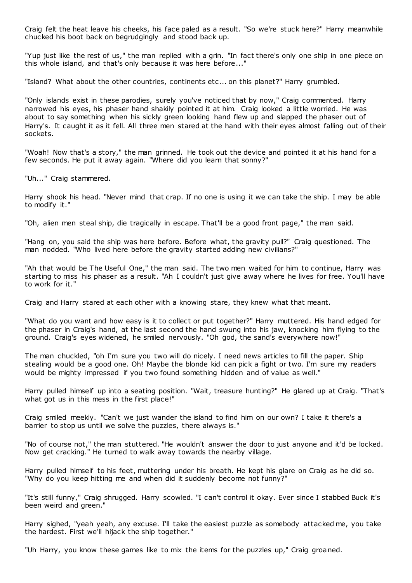Craig felt the heat leave his cheeks, his face paled as a result. "So we're stuck here?" Harry meanwhile chucked his boot back on begrudgingly and stood back up.

"Yup just like the rest of us," the man replied with a grin. "In fact there's only one ship in one piece on this whole island, and that's only because it was here before..."

"Island? What about the other countries, continents etc ... on this planet?" Harry grumbled.

"Only islands exist in these parodies, surely you've noticed that by now," Craig commented. Harry narrowed his eyes, his phaser hand shakily pointed it at him. Craig looked a little worried. He was about to say something when his sickly green looking hand flew up and slapped the phaser out of Harry's. It caught it as it fell. All three men stared at the hand with their eyes almost falling out of their sockets.

"Woah! Now that's a story," the man grinned. He took out the device and pointed it at his hand for a few seconds. He put it away again. "Where did you learn that sonny?"

"Uh..." Craig stammered.

Harry shook his head. "Never mind that crap. If no one is using it we can take the ship. I may be able to modify it."

"Oh, alien men steal ship, die tragically in escape. That'll be a good front page," the man said.

"Hang on, you said the ship was here before. Before what, the gravity pull?" Craig questioned. The man nodded. "Who lived here before the gravity started adding new civilians?"

"Ah that would be The Useful One," the man said. The two men waited for him to continue, Harry was starting to miss his phaser as a result. "Ah I couldn't just give away where he lives for free. You'll have to work for it."

Craig and Harry stared at each other with a knowing stare, they knew what that meant.

"What do you want and how easy is it to collect or put together?" Harry muttered. His hand edged for the phaser in Craig's hand, at the last second the hand swung into his jaw, knocking him flying to the ground. Craig's eyes widened, he smiled nervously. "Oh god, the sand's everywhere now!"

The man chuckled, "oh I'm sure you two will do nicely. I need news articles to fill the paper. Ship stealing would be a good one. Oh! Maybe the blonde kid can pick a fight or two. I'm sure my readers would be mighty impressed if you two found something hidden and of value as well."

Harry pulled himself up into a seating position. "Wait, treasure hunting?" He glared up at Craig. "That's what got us in this mess in the first place!"

Craig smiled meekly. "Can't we just wander the island to find him on our own? I take it there's a barrier to stop us until we solve the puzzles, there always is."

"No of course not," the man stuttered. "He wouldn't answer the door to just anyone and it'd be locked. Now get cracking." He turned to walk away towards the nearby village.

Harry pulled himself to his feet, muttering under his breath. He kept his glare on Craig as he did so. "Why do you keep hitting me and when did it suddenly become not funny?"

"It's still funny," Craig shrugged. Harry scowled. "I can't control it okay. Ever since I stabbed Buck it's been weird and green."

Harry sighed, "yeah yeah, any excuse. I'll take the easiest puzzle as somebody attacked me, you take the hardest. First we'll hijack the ship together."

"Uh Harry, you know these games like to mix the items for the puzzles up," Craig groaned.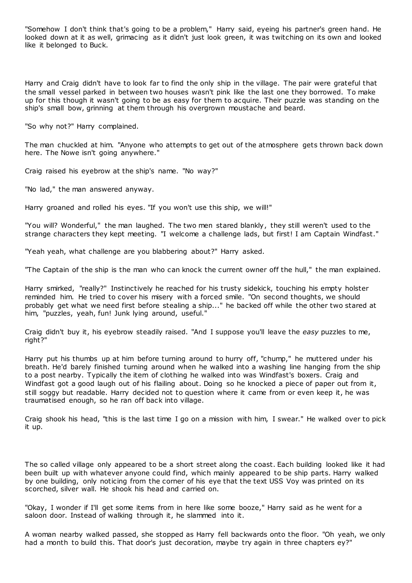"Somehow I don't think that's going to be a problem," Harry said, eyeing his partner's green hand. He looked down at it as well, grimacing as it didn't just look green, it was twitching on its own and looked like it belonged to Buck.

Harry and Craig didn't have to look far to find the only ship in the village. The pair were grateful that the small vessel parked in between two houses wasn't pink like the last one they borrowed. To make up for this though it wasn't going to be as easy for them to acquire. Their puzzle was standing on the ship's small bow, grinning at them through his overgrown moustache and beard.

"So why not?" Harry complained.

The man chuckled at him. "Anyone who attempts to get out of the atmosphere gets thrown back down here. The Nowe isn't going anywhere."

Craig raised his eyebrow at the ship's name. "No way?"

"No lad," the man answered anyway.

Harry groaned and rolled his eyes. "If you won't use this ship, we will!"

"You will? Wonderful," the man laughed. The two men stared blankly, they still weren't used to the strange characters they kept meeting. "I welcome a challenge lads, but first! I am Captain Windfast."

"Yeah yeah, what challenge are you blabbering about?" Harry asked.

"The Captain of the ship is the man who can knock the current owner off the hull," the man explained.

Harry smirked, "really?" Instinctively he reached for his trusty sidekick, touching his empty holster reminded him. He tried to cover his misery with a forced smile. "On second thoughts, we should probably get what we need first before stealing a ship..." he backed off while the other two stared at him, "puzzles, yeah, fun! Junk lying around, useful."

Craig didn't buy it, his eyebrow steadily raised. "And I suppose you'll leave the *easy* puzzles to me, right?"

Harry put his thumbs up at him before turning around to hurry off, "chump," he muttered under his breath. He'd barely finished turning around when he walked into a washing line hanging from the ship to a post nearby. Typically the item of clothing he walked into was Windfast's boxers. Craig and Windfast got a good laugh out of his flailing about. Doing so he knocked a piece of paper out from it, still soggy but readable. Harry decided not to question where it came from or even keep it, he was traumatised enough, so he ran off back into village.

Craig shook his head, "this is the last time I go on a mission with him, I swear." He walked over to pick it up.

The so called village only appeared to be a short street along the coast. Each building looked like it had been built up with whatever anyone could find, which mainly appeared to be ship parts. Harry walked by one building, only noticing from the corner of his eye that the text USS Voy was printed on its scorched, silver wall. He shook his head and carried on.

"Okay, I wonder if I'll get some items from in here like some booze," Harry said as he went for a saloon door. Instead of walking through it, he slammed into it.

A woman nearby walked passed, she stopped as Harry fell backwards onto the floor. "Oh yeah, we only had a month to build this. That door's just decoration, maybe try again in three chapters ey?"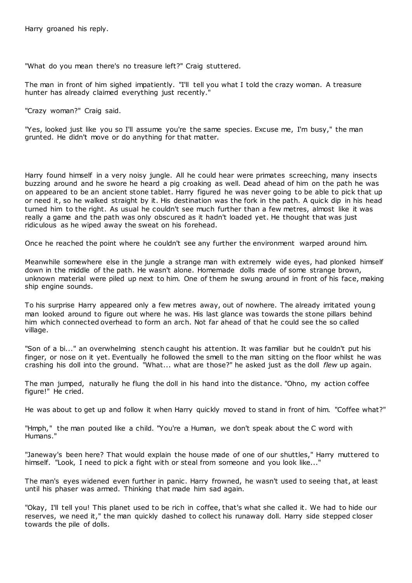Harry groaned his reply.

"What do you mean there's no treasure left?" Craig stuttered.

The man in front of him sighed impatiently. "I'll tell you what I told the crazy woman. A treasure hunter has already claimed everything just recently."

"Crazy woman?" Craig said.

"Yes, looked just like you so I'll assume you're the same species. Excuse me, I'm busy," the man grunted. He didn't move or do anything for that matter.

Harry found himself in a very noisy jungle. All he could hear were primates screeching, many insects buzzing around and he swore he heard a pig croaking as well. Dead ahead of him on the path he was on appeared to be an ancient stone tablet. Harry figured he was never going to be able to pick that up or need it, so he walked straight by it. His destination was the fork in the path. A quick dip in his head turned him to the right. As usual he couldn't see much further than a few metres, almost like it was really a game and the path was only obscured as it hadn't loaded yet. He thought that was just ridiculous as he wiped away the sweat on his forehead.

Once he reached the point where he couldn't see any further the environment warped around him.

Meanwhile somewhere else in the jungle a strange man with extremely wide eyes, had plonked himself down in the middle of the path. He wasn't alone. Homemade dolls made of some strange brown, unknown material were piled up next to him. One of them he swung around in front of his face, making ship engine sounds.

To his surprise Harry appeared only a few metres away, out of nowhere. The already irritated young man looked around to figure out where he was. His last glance was towards the stone pillars behind him which connected overhead to form an arch. Not far ahead of that he could see the so called village.

"Son of a bi..." an overwhelming stench caught his attention. It was familiar but he couldn't put his finger, or nose on it yet. Eventually he followed the smell to the man sitting on the floor whilst he was crashing his doll into the ground. "What... what are those?" he asked just as the doll *flew* up again.

The man jumped, naturally he flung the doll in his hand into the distance. "Ohno, my action coffee figure!" He cried.

He was about to get up and follow it when Harry quickly moved to stand in front of him. "Coffee what?"

"Hmph," the man pouted like a child. "You're a Human, we don't speak about the C word with Humans."

"Janeway's been here? That would explain the house made of one of our shuttles," Harry muttered to himself. "Look, I need to pick a fight with or steal from someone and you look like..."

The man's eyes widened even further in panic. Harry frowned, he wasn't used to seeing that, at least until his phaser was armed. Thinking that made him sad again.

"Okay, I'll tell you! This planet used to be rich in coffee, that's what she called it. We had to hide our reserves, we need it," the man quickly dashed to collect his runaway doll. Harry side stepped closer towards the pile of dolls.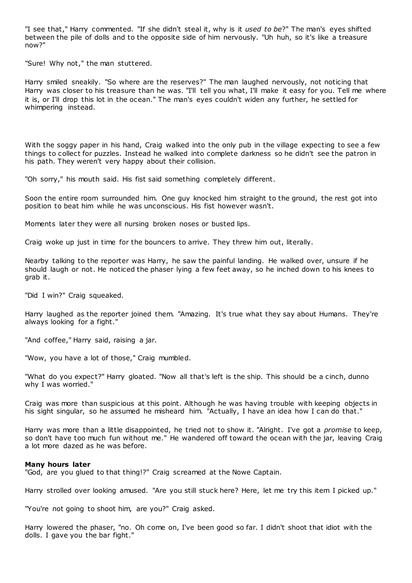"I see that," Harry commented. "If she didn't steal it, why is it *used to be*?" The man's eyes shifted between the pile of dolls and to the opposite side of him nervously. "Uh huh, so it's like a treasure now?"

"Sure! Why not," the man stuttered.

Harry smiled sneakily. "So where are the reserves?" The man laughed nervously, not noticing that Harry was closer to his treasure than he was. "I'll tell you what, I'll make it easy for you. Tell me where it is, or I'll drop this lot in the ocean." The man's eyes couldn't widen any further, he settled for whimpering instead.

With the soggy paper in his hand, Craig walked into the only pub in the village expecting to see a few things to collect for puzzles. Instead he walked into complete darkness so he didn't see the patron in his path. They weren't very happy about their collision.

"Oh sorry," his mouth said. His fist said something completely different.

Soon the entire room surrounded him. One guy knocked him straight to the ground, the rest got into position to beat him while he was unconscious. His fist however wasn't.

Moments later they were all nursing broken noses or busted lips.

Craig woke up just in time for the bouncers to arrive. They threw him out, literally.

Nearby talking to the reporter was Harry, he saw the painful landing. He walked over, unsure if he should laugh or not. He noticed the phaser lying a few feet away, so he inched down to his knees to grab it.

"Did I win?" Craig squeaked.

Harry laughed as the reporter joined them. "Amazing. It's true what they say about Humans. They're always looking for a fight."

"And coffee," Harry said, raising a jar.

"Wow, you have a lot of those," Craig mumbled.

"What do you expect?" Harry gloated. "Now all that's left is the ship. This should be a cinch, dunno why I was worried."

Craig was more than suspicious at this point. Although he was having trouble with keeping objects in his sight singular, so he assumed he misheard him. "Actually, I have an idea how I can do that."

Harry was more than a little disappointed, he tried not to show it. "Alright. I've got a *promise* to keep, so don't have too much fun without me." He wandered off toward the ocean with the jar, leaving Craig a lot more dazed as he was before.

#### **Many hours later**

"God, are you glued to that thing!?" Craig screamed at the Nowe Captain.

Harry strolled over looking amused. "Are you still stuck here? Here, let me try this item I picked up."

"You're not going to shoot him, are you?" Craig asked.

Harry lowered the phaser, "no. Oh come on, I've been good so far. I didn't shoot that idiot with the dolls. I gave you the bar fight."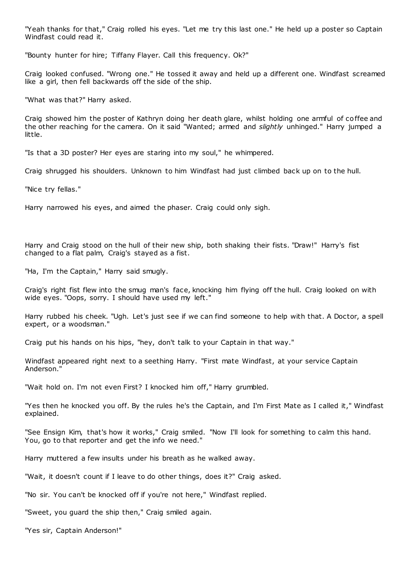"Yeah thanks for that," Craig rolled his eyes. "Let me try this last one." He held up a poster so Captain Windfast could read it.

"Bounty hunter for hire; Tiffany Flayer. Call this frequency. Ok?"

Craig looked confused. "Wrong one." He tossed it away and held up a different one. Windfast screamed like a girl, then fell backwards off the side of the ship.

"What was that?" Harry asked.

Craig showed him the poster of Kathryn doing her death glare, whilst holding one armful of coffee and the other reaching for the camera. On it said "Wanted; armed and *slightly* unhinged." Harry jumped a little.

"Is that a 3D poster? Her eyes are staring into my soul," he whimpered.

Craig shrugged his shoulders. Unknown to him Windfast had just climbed back up on to the hull.

"Nice try fellas."

Harry narrowed his eyes, and aimed the phaser. Craig could only sigh.

Harry and Craig stood on the hull of their new ship, both shaking their fists. "Draw!" Harry's fist changed to a flat palm, Craig's stayed as a fist.

"Ha, I'm the Captain," Harry said smugly.

Craig's right fist flew into the smug man's face, knocking him flying off the hull. Craig looked on with wide eyes. "Oops, sorry. I should have used my left."

Harry rubbed his cheek. "Ugh. Let's just see if we can find someone to help with that. A Doctor, a spell expert, or a woodsman."

Craig put his hands on his hips, "hey, don't talk to your Captain in that way."

Windfast appeared right next to a seething Harry. "First mate Windfast, at your service Captain Anderson."

"Wait hold on. I'm not even First? I knocked him off," Harry grumbled.

"Yes then he knocked you off. By the rules he's the Captain, and I'm First Mate as I called it," Windfast explained.

"See Ensign Kim, that's how it works," Craig smiled. "Now I'll look for something to calm this hand. You, go to that reporter and get the info we need."

Harry muttered a few insults under his breath as he walked away.

"Wait, it doesn't count if I leave to do other things, does it?" Craig asked.

"No sir. You can't be knocked off if you're not here," Windfast replied.

"Sweet, you guard the ship then," Craig smiled again.

"Yes sir, Captain Anderson!"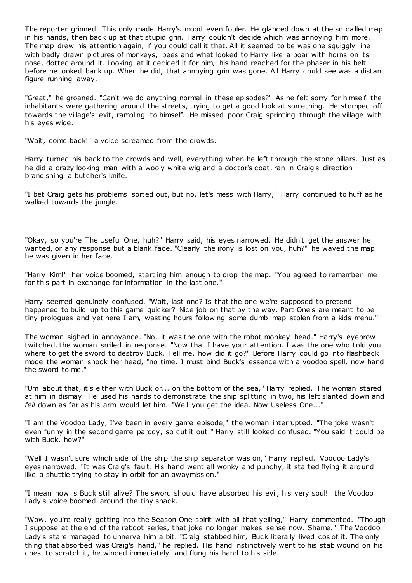The reporter grinned. This only made Harry's mood even fouler. He glanced down at the so called map in his hands, then back up at that stupid grin. Harry couldn't decide which was annoying him more. The map drew his attention again, if you could call it that. All it seemed to be was one squiggly line with badly drawn pictures of monkeys, bees and what looked to Harry like a boar with horns on its nose, dotted around it. Looking at it decided it for him, his hand reached for the phaser in his belt before he looked back up. When he did, that annoying grin was gone. All Harry could see was a distant figure running away.

"Great," he groaned. "Can't we do anything normal in these episodes?" As he felt sorry for himself the inhabitants were gathering around the streets, trying to get a good look at something. He stomped off towards the village's exit, rambling to himself. He missed poor Craig sprinting through the village with his eyes wide.

"Wait, come back!" a voice screamed from the crowds.

Harry turned his back to the crowds and well, everything when he left through the stone pillars. Just as he did a crazy looking man with a wooly white wig and a doctor's coat, ran in Craig's direction brandishing a butcher's knife.

"I bet Craig gets his problems sorted out, but no, let's mess with Harry," Harry continued to huff as he walked towards the jungle.

"Okay, so you're The Useful One, huh?" Harry said, his eyes narrowed. He didn't get the answer he wanted, or any response but a blank face. "Clearly the irony is lost on you, huh?" he waved the map he was given in her face.

"Harry Kim!" her voice boomed, startling him enough to drop the map. "You agreed to remember me for this part in exchange for information in the last one."

Harry seemed genuinely confused. "Wait, last one? Is that the one we're supposed to pretend happened to build up to this game quicker? Nice job on that by the way. Part One's are meant to be tiny prologues and yet here I am, wasting hours following some dumb map stolen from a kids menu."

The woman sighed in annoyance. "No, it was the one with the robot monkey head." Harry's eyebrow twitched, the woman smiled in response. "Now that I have your attention. I was the one who told you where to get the sword to destroy Buck. Tell me, how did it go?" Before Harry could go into flashback mode the woman shook her head, "no time. I must bind Buck's essence with a voodoo spell, now hand the sword to me."

"Um about that, it's either with Buck or... on the bottom of the sea," Harry replied. The woman stared at him in dismay. He used his hands to demonstrate the ship splitting in two, his left slanted down and *fell* down as far as his arm would let him. "Well you get the idea. Now Useless One..."

"I am the Voodoo Lady, I've been in every game episode," the woman interrupted. "The joke wasn't even funny in the second game parody, so cut it out." Harry still looked confused. "You said it could be with Buck, how?"

"Well I wasn't sure which side of the ship the ship separator was on," Harry replied. Voodoo Lady's eyes narrowed. "It was Craig's fault. His hand went all wonky and punchy, it started flying it around like a shuttle trying to stay in orbit for an awaymission."

"I mean how is Buck still alive? The sword should have absorbed his evil, his very soul!" the Voodoo Lady's voice boomed around the tiny shack.

"Wow, you're really getting into the Season One spirit with all that yelling," Harry commented. "Though I suppose at the end of the reboot series, that joke no longer makes sense now. Shame." The Voodoo Lady's stare managed to unnerve him a bit. "Craig stabbed him, Buck literally lived cos of it. The only thing that absorbed was Craig's hand," he replied. His hand instinctively went to his stab wound on his chest to scratch it, he winced immediately and flung his hand to his side.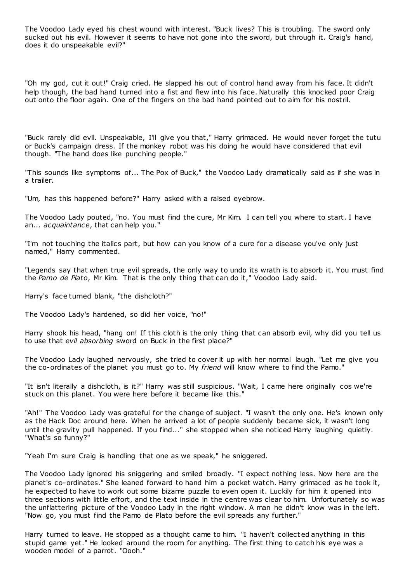The Voodoo Lady eyed his chest wound with interest. "Buck lives? This is troubling. The sword only sucked out his evil. However it seems to have not gone into the sword, but through it. Craig's hand, does it do unspeakable evil?"

"Oh my god, cut it out!" Craig cried. He slapped his out of control hand away from his face. It didn't help though, the bad hand turned into a fist and flew into his face. Naturally this knocked poor Craig out onto the floor again. One of the fingers on the bad hand pointed out to aim for his nostril.

"Buck rarely did evil. Unspeakable, I'll give you that," Harry grimaced. He would never forget the tutu or Buck's campaign dress. If the monkey robot was his doing he would have considered that evil though. "The hand does like punching people."

"This sounds like symptoms of... The Pox of Buck," the Voodoo Lady dramatically said as if she was in a trailer.

"Um, has this happened before?" Harry asked with a raised eyebrow.

The Voodoo Lady pouted, "no. You must find the cure, Mr Kim. I can tell you where to start. I have an... *acquaintance*, that can help you."

"I'm not touching the italics part, but how can you know of a cure for a disease you've only just named," Harry commented.

"Legends say that when true evil spreads, the only way to undo its wrath is to absorb it. You must find the *Pamo de Plato*, Mr Kim. That is the only thing that can do it," Voodoo Lady said.

Harry's face turned blank, "the dishcloth?"

The Voodoo Lady's hardened, so did her voice, "no!"

Harry shook his head, "hang on! If this cloth is the only thing that can absorb evil, why did you tell us to use that *evil absorbing* sword on Buck in the first place?"

The Voodoo Lady laughed nervously, she tried to cover it up with her normal laugh. "Let me give you the co-ordinates of the planet you must go to. My *friend* will know where to find the Pamo."

"It isn't literally a dishcloth, is it?" Harry was still suspicious. "Wait, I came here originally cos we're stuck on this planet. You were here before it became like this."

"Ah!" The Voodoo Lady was grateful for the change of subject. "I wasn't the only one. He's known only as the Hack Doc around here. When he arrived a lot of people suddenly became sick, it wasn't long until the gravity pull happened. If you find..." she stopped when she noticed Harry laughing quietly. "What's so funny?"

"Yeah I'm sure Craig is handling that one as we speak," he sniggered.

The Voodoo Lady ignored his sniggering and smiled broadly. "I expect nothing less. Now here are the planet's co-ordinates." She leaned forward to hand him a pocket watch. Harry grimaced as he took it, he expected to have to work out some bizarre puzzle to even open it. Luckily for him it opened into three sections with little effort, and the text inside in the centre was clear to him. Unfortunately so was the unflattering picture of the Voodoo Lady in the right window. A man he didn't know was in the left. "Now go, you must find the Pamo de Plato before the evil spreads any further."

Harry turned to leave. He stopped as a thought came to him. "I haven't collect ed anything in this stupid game yet." He looked around the room for anything. The first thing to catch his eye was a wooden model of a parrot. "Oooh."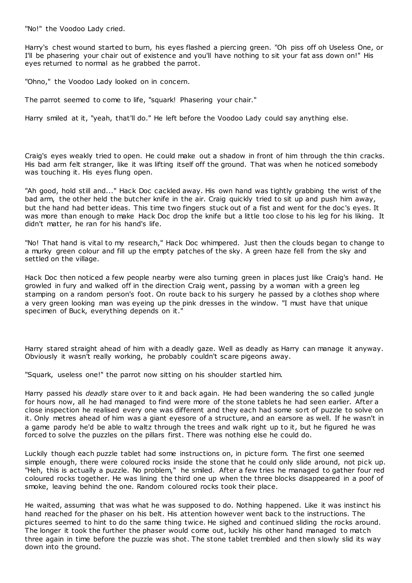"No!" the Voodoo Lady cried.

Harry's chest wound started to burn, his eyes flashed a piercing green. "Oh piss off oh Useless One, or I'll be phasering your chair out of existence and you'll have nothing to sit your fat ass down on!" His eyes returned to normal as he grabbed the parrot.

"Ohno," the Voodoo Lady looked on in concern.

The parrot seemed to come to life, "squark! Phasering your chair."

Harry smiled at it, "yeah, that'll do." He left before the Voodoo Lady could say anything else.

Craig's eyes weakly tried to open. He could make out a shadow in front of him through the thin cracks. His bad arm felt stranger, like it was lifting itself off the ground. That was when he noticed somebody was touching it. His eyes flung open.

"Ah good, hold still and..." Hack Doc cackled away. His own hand was tightly grabbing the wrist of the bad arm, the other held the butcher knife in the air. Craig quickly tried to sit up and push him away, but the hand had better ideas. This time two fingers stuck out of a fist and went for the doc's eyes. It was more than enough to make Hack Doc drop the knife but a little too close to his leg for his liking. It didn't matter, he ran for his hand's life.

"No! That hand is vital to my research," Hack Doc whimpered. Just then the clouds began to change to a murky green colour and fill up the empty patches of the sky. A green haze fell from the sky and settled on the village.

Hack Doc then noticed a few people nearby were also turning green in places just like Craig's hand. He growled in fury and walked off in the direction Craig went, passing by a woman with a green leg stamping on a random person's foot. On route back to his surgery he passed by a clothes shop where a very green looking man was eyeing up the pink dresses in the window. "I must have that unique specimen of Buck, everything depends on it."

Harry stared straight ahead of him with a deadly gaze. Well as deadly as Harry can manage it anyway. Obviously it wasn't really working, he probably couldn't scare pigeons away.

"Squark, useless one!" the parrot now sitting on his shoulder startled him.

Harry passed his *deadly* stare over to it and back again. He had been wandering the so called jungle for hours now, all he had managed to find were more of the stone tablets he had seen earlier. After a close inspection he realised every one was different and they each had some sort of puzzle to solve on it. Only metres ahead of him was a giant eyesore of a structure, and an earsore as well. If he wasn't in a game parody he'd be able to waltz through the trees and walk right up to it, but he figured he was forced to solve the puzzles on the pillars first. There was nothing else he could do.

Luckily though each puzzle tablet had some instructions on, in picture form. The first one seemed simple enough, there were coloured rocks inside the stone that he could only slide around, not pick up. "Heh, this is actually a puzzle. No problem," he smiled. After a few tries he managed to gather four red coloured rocks together. He was lining the third one up when the three blocks disappeared in a poof of smoke, leaving behind the one. Random coloured rocks took their place.

He waited, assuming that was what he was supposed to do. Nothing happened. Like it was instinct his hand reached for the phaser on his belt. His attention however went back to the instructions. The pictures seemed to hint to do the same thing twice. He sighed and continued sliding the rocks around. The longer it took the further the phaser would come out, luckily his other hand managed to match three again in time before the puzzle was shot. The stone tablet trembled and then slowly slid its way down into the ground.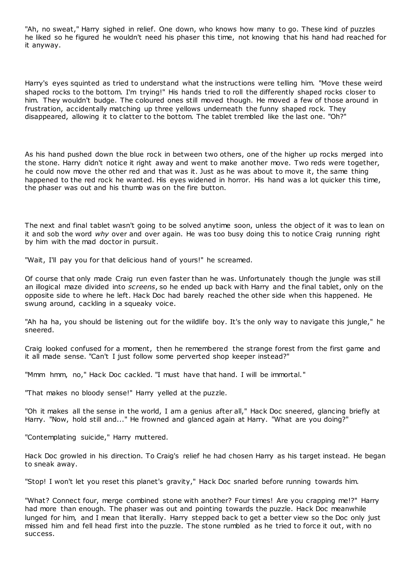"Ah, no sweat," Harry sighed in relief. One down, who knows how many to go. These kind of puzzles he liked so he figured he wouldn't need his phaser this time, not knowing that his hand had reached for it anyway.

Harry's eyes squinted as tried to understand what the instructions were telling him. "Move these weird shaped rocks to the bottom. I'm trying!" His hands tried to roll the differently shaped rocks closer to him. They wouldn't budge. The coloured ones still moved though. He moved a few of those around in frustration, accidentally matching up three yellows underneath the funny shaped rock. They disappeared, allowing it to clatter to the bottom. The tablet trembled like the last one. "Oh?"

As his hand pushed down the blue rock in between two others, one of the higher up rocks merged into the stone. Harry didn't notice it right away and went to make another move. Two reds were together, he could now move the other red and that was it. Just as he was about to move it, the same thing happened to the red rock he wanted. His eyes widened in horror. His hand was a lot quicker this time, the phaser was out and his thumb was on the fire button.

The next and final tablet wasn't going to be solved anytime soon, unless the object of it was to lean on it and sob the word *why* over and over again. He was too busy doing this to notice Craig running right by him with the mad doctor in pursuit.

"Wait, I'll pay you for that delicious hand of yours!" he screamed.

Of course that only made Craig run even faster than he was. Unfortunately though the jungle was still an illogical maze divided into *screens*, so he ended up back with Harry and the final tablet, only on the opposite side to where he left. Hack Doc had barely reached the other side when this happened. He swung around, cackling in a squeaky voice.

"Ah ha ha, you should be listening out for the wildlife boy. It's the only way to navigate this jungle," he sneered.

Craig looked confused for a moment, then he remembered the strange forest from the first game and it all made sense. "Can't I just follow some perverted shop keeper instead?"

"Mmm hmm, no," Hack Doc cackled. "I must have that hand. I will be immortal."

"That makes no bloody sense!" Harry yelled at the puzzle.

"Oh it makes all the sense in the world, I am a genius after all," Hack Doc sneered, glancing briefly at Harry. "Now, hold still and..." He frowned and glanced again at Harry. "What are you doing?"

"Contemplating suicide," Harry muttered.

Hack Doc growled in his direction. To Craig's relief he had chosen Harry as his target instead. He began to sneak away.

"Stop! I won't let you reset this planet's gravity," Hack Doc snarled before running towards him.

"What? Connect four, merge combined stone with another? Four times! Are you crapping me!?" Harry had more than enough. The phaser was out and pointing towards the puzzle. Hack Doc meanwhile lunged for him, and I mean that literally. Harry stepped back to get a better view so the Doc only just missed him and fell head first into the puzzle. The stone rumbled as he tried to force it out, with no success.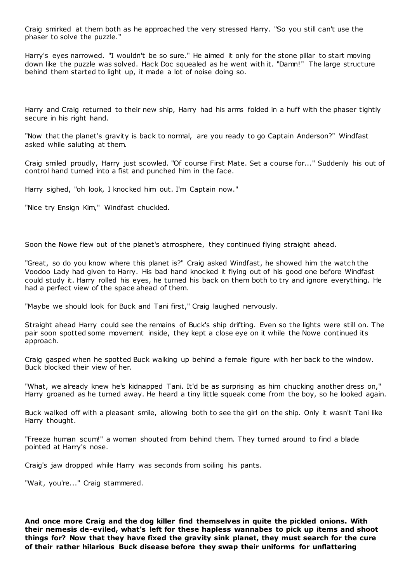Craig smirked at them both as he approached the very stressed Harry. "So you still can't use the phaser to solve the puzzle."

Harry's eyes narrowed. "I wouldn't be so sure." He aimed it only for the stone pillar to start moving down like the puzzle was solved. Hack Doc squealed as he went with it. "Damn!" The large structure behind them started to light up, it made a lot of noise doing so.

Harry and Craig returned to their new ship, Harry had his arms folded in a huff with the phaser tightly secure in his right hand.

"Now that the planet's gravity is back to normal, are you ready to go Captain Anderson?" Windfast asked while saluting at them.

Craig smiled proudly, Harry just scowled. "Of course First Mate. Set a course for..." Suddenly his out of control hand turned into a fist and punched him in the face.

Harry sighed, "oh look, I knocked him out. I'm Captain now."

"Nice try Ensign Kim," Windfast chuckled.

Soon the Nowe flew out of the planet's atmosphere, they continued flying straight ahead.

"Great, so do you know where this planet is?" Craig asked Windfast, he showed him the watch the Voodoo Lady had given to Harry. His bad hand knocked it flying out of his good one before Windfast could study it. Harry rolled his eyes, he turned his back on them both to try and ignore everything. He had a perfect view of the space ahead of them.

"Maybe we should look for Buck and Tani first," Craig laughed nervously.

Straight ahead Harry could see the remains of Buck's ship drifting. Even so the lights were still on. The pair soon spotted some movement inside, they kept a close eye on it while the Nowe continued its approach.

Craig gasped when he spotted Buck walking up behind a female figure with her back to the window. Buck blocked their view of her.

"What, we already knew he's kidnapped Tani. It'd be as surprising as him chucking another dress on," Harry groaned as he turned away. He heard a tiny little squeak come from the boy, so he looked again.

Buck walked off with a pleasant smile, allowing both to see the girl on the ship. Only it wasn't Tani like Harry thought.

"Freeze human scum!" a woman shouted from behind them. They turned around to find a blade pointed at Harry's nose.

Craig's jaw dropped while Harry was seconds from soiling his pants.

"Wait, you're..." Craig stammered.

**And once more Craig and the dog killer find themselves in quite the pickled onions. With their nemesis de-eviled, what's left for these hapless wannabes to pick up items and shoot things for? Now that they have fixed the gravity sink planet, they must search for the cure of their rather hilarious Buck disease before they swap their uniforms for unflattering**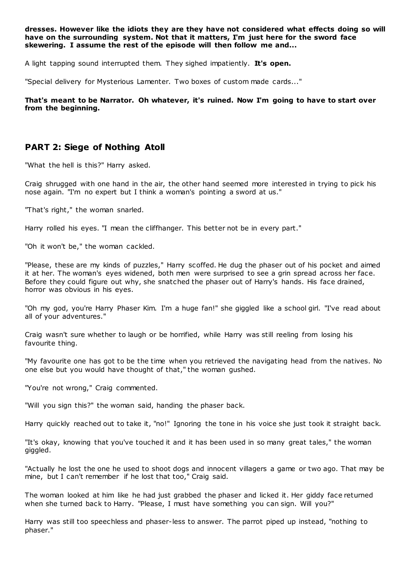**dresses. However like the idiots they are they have not considered what effects doing so will have on the surrounding system. Not that it matters, I'm just here for the sword face skewering. I assume the rest of the episode will then follow me and...**

A light tapping sound interrupted them. They sighed impatiently. **It's open.**

"Special delivery for Mysterious Lamenter. Two boxes of custom made cards..."

**That's meant to be Narrator. Oh whatever, it's ruined. Now I'm going to have to start over from the beginning.**

## **PART 2: Siege of Nothing Atoll**

"What the hell is this?" Harry asked.

Craig shrugged with one hand in the air, the other hand seemed more interested in trying to pick his nose again. "I'm no expert but I think a woman's pointing a sword at us."

"That's right," the woman snarled.

Harry rolled his eyes. "I mean the cliffhanger. This better not be in every part."

"Oh it won't be," the woman cackled.

"Please, these are my kinds of puzzles," Harry scoffed. He dug the phaser out of his pocket and aimed it at her. The woman's eyes widened, both men were surprised to see a grin spread across her face. Before they could figure out why, she snatched the phaser out of Harry's hands. His face drained, horror was obvious in his eyes.

"Oh my god, you're Harry Phaser Kim. I'm a huge fan!" she giggled like a school girl. "I've read about all of your adventures."

Craig wasn't sure whether to laugh or be horrified, while Harry was still reeling from losing his favourite thing.

"My favourite one has got to be the time when you retrieved the navigating head from the natives. No one else but you would have thought of that," the woman gushed.

"You're not wrong," Craig commented.

"Will you sign this?" the woman said, handing the phaser back.

Harry quickly reached out to take it, "no!" Ignoring the tone in his voice she just took it straight back.

"It's okay, knowing that you've touched it and it has been used in so many great tales," the woman giggled.

"Actually he lost the one he used to shoot dogs and innocent villagers a game or two ago. That may be mine, but I can't remember if he lost that too," Craig said.

The woman looked at him like he had just grabbed the phaser and licked it. Her giddy face returned when she turned back to Harry. "Please, I must have something you can sign. Will you?"

Harry was still too speechless and phaser-less to answer. The parrot piped up instead, "nothing to phaser."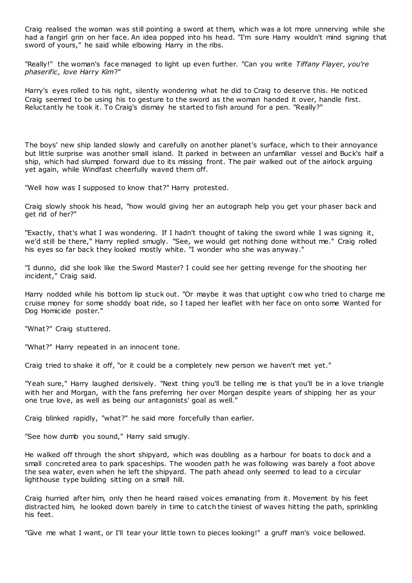Craig realised the woman was still pointing a sword at them, which was a lot more unnerving while she had a fangirl grin on her face. An idea popped into his head. "I'm sure Harry wouldn't mind signing that sword of yours," he said while elbowing Harry in the ribs.

"Really!" the woman's face managed to light up even further. "Can you write *Tiffany Flayer, you're phaserific , love Harry Kim*?"

Harry's eyes rolled to his right, silently wondering what he did to Craig to deserve this. He noticed Craig seemed to be using his to gesture to the sword as the woman handed it over, handle first. Reluctantly he took it. To Craig's dismay he started to fish around for a pen. "Really?"

The boys' new ship landed slowly and carefully on another planet's surface, which to their annoyance but little surprise was another small island. It parked in between an unfamiliar vessel and Buck's half a ship, which had slumped forward due to its missing front. The pair walked out of the airlock arguing yet again, while Windfast cheerfully waved them off.

"Well how was I supposed to know that?" Harry protested.

Craig slowly shook his head, "how would giving her an autograph help you get your phaser back and get rid of her?"

"Exactly, that's what I was wondering. If I hadn't thought of taking the sword while I was signing it, we'd still be there," Harry replied smugly. "See, we would get nothing done without me." Craig rolled his eyes so far back they looked mostly white. "I wonder who she was anyway."

"I dunno, did she look like the Sword Master? I could see her getting revenge for the shooting her incident," Craig said.

Harry nodded while his bottom lip stuck out. "Or maybe it was that uptight c ow who tried to charge me cruise money for some shoddy boat ride, so I taped her leaflet with her face on onto some Wanted for Dog Homicide poster."

"What?" Craig stuttered.

"What?" Harry repeated in an innocent tone.

Craig tried to shake it off, "or it could be a completely new person we haven't met yet."

"Yeah sure," Harry laughed derisively. "Next thing you'll be telling me is that you'll be in a love triangle with her and Morgan, with the fans preferring her over Morgan despite years of shipping her as your one true love, as well as being our antagonists' goal as well."

Craig blinked rapidly, "what?" he said more forcefully than earlier.

"See how dumb you sound," Harry said smugly.

He walked off through the short shipyard, which was doubling as a harbour for boats to dock and a small concreted area to park spaceships. The wooden path he was following was barely a foot above the sea water, even when he left the shipyard. The path ahead only seemed to lead to a circular lighthouse type building sitting on a small hill.

Craig hurried after him, only then he heard raised voices emanating from it. Movement by his feet distracted him, he looked down barely in time to catch the tiniest of waves hitting the path, sprinkling his feet.

"Give me what I want, or I'll tear your little town to pieces looking!" a gruff man's voice bellowed.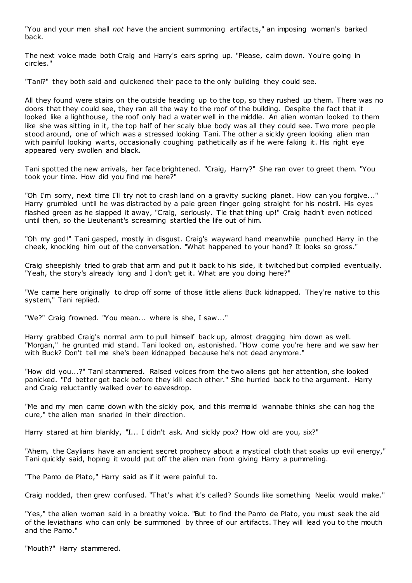"You and your men shall *not* have the ancient summoning artifacts," an imposing woman's barked back.

The next voice made both Craig and Harry's ears spring up. "Please, calm down. You're going in circles."

"Tani?" they both said and quickened their pace to the only building they could see.

All they found were stairs on the outside heading up to the top, so they rushed up them. There was no doors that they could see, they ran all the way to the roof of the building. Despite the fact that it looked like a lighthouse, the roof only had a water well in the middle. An alien woman looked to them like she was sitting in it, the top half of her scaly blue body was all they could see. Two more people stood around, one of which was a stressed looking Tani. The other a sickly green looking alien man with painful looking warts, occasionally coughing pathetically as if he were faking it. His right eye appeared very swollen and black.

Tani spotted the new arrivals, her face brightened. "Craig, Harry?" She ran over to greet them. "You took your time. How did you find me here?"

"Oh I'm sorry, next time I'll try not to crash land on a gravity sucking planet. How can you forgive..." Harry grumbled until he was distracted by a pale green finger going straight for his nostril. His eyes flashed green as he slapped it away, "Craig, seriously. Tie that thing up!" Craig hadn't even noticed until then, so the Lieutenant's screaming startled the life out of him.

"Oh my god!" Tani gasped, mostly in disgust. Craig's wayward hand meanwhile punched Harry in the cheek, knocking him out of the conversation. "What happened to your hand? It looks so gross."

Craig sheepishly tried to grab that arm and put it back to his side, it twitched but complied eventually. "Yeah, the story's already long and I don't get it. What are you doing here?"

"We came here originally to drop off some of those little aliens Buck kidnapped. They're native to this system," Tani replied.

"We?" Craig frowned. "You mean... where is she, I saw..."

Harry grabbed Craig's normal arm to pull himself back up, almost dragging him down as well. "Morgan," he grunted mid stand. Tani looked on, astonished. "How come you're here and we saw her with Buck? Don't tell me she's been kidnapped because he's not dead anymore."

"How did you...?" Tani stammered. Raised voices from the two aliens got her attention, she looked panicked. "I'd better get back before they kill each other." She hurried back to the argument. Harry and Craig reluctantly walked over to eavesdrop.

"Me and my men came down with the sickly pox, and this mermaid wannabe thinks she can hog the cure," the alien man snarled in their direction.

Harry stared at him blankly, "I... I didn't ask. And sickly pox? How old are you, six?"

"Ahem, the Caylians have an ancient secret prophecy about a mystical cloth that soaks up evil energy," Tani quickly said, hoping it would put off the alien man from giving Harry a pummeling.

"The Pamo de Plato," Harry said as if it were painful to.

Craig nodded, then grew confused. "That's what it's called? Sounds like something Neelix would make."

"Yes," the alien woman said in a breathy voice. "But to find the Pamo de Plato, you must seek the aid of the leviathans who can only be summoned by three of our artifacts. They will lead you to the mouth and the Pamo."

"Mouth?" Harry stammered.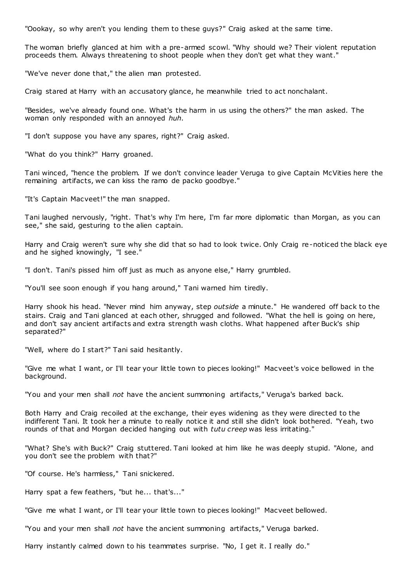"Oookay, so why aren't you lending them to these guys?" Craig asked at the same time.

The woman briefly glanced at him with a pre-armed scowl. "Why should we? Their violent reputation proceeds them. Always threatening to shoot people when they don't get what they want."

"We've never done that," the alien man protested.

Craig stared at Harry with an accusatory glance, he meanwhile tried to act nonchalant.

"Besides, we've already found one. What's the harm in us using the others?" the man asked. The woman only responded with an annoyed *huh*.

"I don't suppose you have any spares, right?" Craig asked.

"What do you think?" Harry groaned.

Tani winced, "hence the problem. If we don't convince leader Veruga to give Captain McVities here the remaining artifacts, we can kiss the ramo de packo goodbye."

"It's Captain Macveet!" the man snapped.

Tani laughed nervously, "right. That's why I'm here, I'm far more diplomatic than Morgan, as you can see," she said, gesturing to the alien captain.

Harry and Craig weren't sure why she did that so had to look twice. Only Craig re-noticed the black eye and he sighed knowingly, "I see.

"I don't. Tani's pissed him off just as much as anyone else," Harry grumbled.

"You'll see soon enough if you hang around," Tani warned him tiredly.

Harry shook his head. "Never mind him anyway, step *outside* a minute." He wandered off back to the stairs. Craig and Tani glanced at each other, shrugged and followed. "What the hell is going on here, and don't say ancient artifacts and extra strength wash cloths. What happened after Buck's ship separated?"

"Well, where do I start?" Tani said hesitantly.

"Give me what I want, or I'll tear your little town to pieces looking!" Macveet's voice bellowed in the background.

"You and your men shall *not* have the ancient summoning artifacts," Veruga's barked back.

Both Harry and Craig recoiled at the exchange, their eyes widening as they were directed to the indifferent Tani. It took her a minute to really notice it and still she didn't look bothered. "Yeah, two rounds of that and Morgan decided hanging out with *tutu creep* was less irritating."

"What? She's with Buck?" Craig stuttered. Tani looked at him like he was deeply stupid. "Alone, and you don't see the problem with that?"

"Of course. He's harmless," Tani snickered.

Harry spat a few feathers, "but he... that's..."

"Give me what I want, or I'll tear your little town to pieces looking!" Macveet bellowed.

"You and your men shall *not* have the ancient summoning artifacts," Veruga barked.

Harry instantly calmed down to his teammates surprise. "No, I get it. I really do."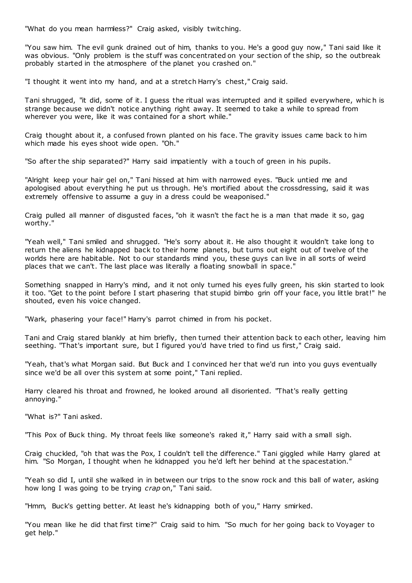"What do you mean harmless?" Craig asked, visibly twitching.

"You saw him. The evil gunk drained out of him, thanks to you. He's a good guy now," Tani said like it was obvious. "Only problem is the stuff was concentrated on your section of the ship, so the outbreak probably started in the atmosphere of the planet you crashed on."

"I thought it went into my hand, and at a stretch Harry's chest," Craig said.

Tani shrugged, "it did, some of it. I guess the ritual was interrupted and it spilled everywhere, whic h is strange because we didn't notice anything right away. It seemed to take a while to spread from wherever you were, like it was contained for a short while."

Craig thought about it, a confused frown planted on his face. The gravity issues came back to him which made his eyes shoot wide open. "Oh."

"So after the ship separated?" Harry said impatiently with a touch of green in his pupils.

"Alright keep your hair gel on," Tani hissed at him with narrowed eyes. "Buck untied me and apologised about everything he put us through. He's mortified about the crossdressing, said it was extremely offensive to assume a guy in a dress could be weaponised."

Craig pulled all manner of disgusted faces, "oh it wasn't the fact he is a man that made it so, gag worthy."

"Yeah well," Tani smiled and shrugged. "He's sorry about it. He also thought it wouldn't take long to return the aliens he kidnapped back to their home planets, but turns out eight out of twelve of the worlds here are habitable. Not to our standards mind you, these guys can live in all sorts of weird places that we can't. The last place was literally a floating snowball in space."

Something snapped in Harry's mind, and it not only turned his eyes fully green, his skin started to look it too. "Get to the point before I start phasering that stupid bimbo grin off your face, you little brat!" he shouted, even his voice changed.

"Wark, phasering your face!" Harry's parrot chimed in from his pocket.

Tani and Craig stared blankly at him briefly, then turned their attention back to each other, leaving him seething. "That's important sure, but I figured you'd have tried to find us first," Craig said.

"Yeah, that's what Morgan said. But Buck and I convinced her that we'd run into you guys eventually since we'd be all over this system at some point," Tani replied.

Harry cleared his throat and frowned, he looked around all disoriented. "That's really getting annoying."

"What is?" Tani asked.

"This Pox of Buck thing. My throat feels like someone's raked it," Harry said with a small sigh.

Craig chuckled, "oh that was the Pox, I couldn't tell the difference." Tani giggled while Harry glared at him. "So Morgan, I thought when he kidnapped you he'd left her behind at the spacestation.

"Yeah so did I, until she walked in in between our trips to the snow rock and this ball of water, asking how long I was going to be trying *crap* on," Tani said.

"Hmm, Buck's getting better. At least he's kidnapping both of you," Harry smirked.

"You mean like he did that first time?" Craig said to him. "So much for her going back to Voyager to get help."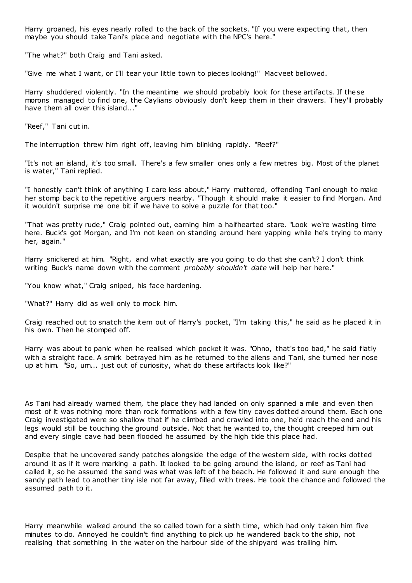Harry groaned, his eyes nearly rolled to the back of the sockets. "If you were expecting that, then maybe you should take Tani's place and negotiate with the NPC's here."

"The what?" both Craig and Tani asked.

"Give me what I want, or I'll tear your little town to pieces looking!" Macveet bellowed.

Harry shuddered violently. "In the meantime we should probably look for these artifacts. If these morons managed to find one, the Caylians obviously don't keep them in their drawers. They'll probably have them all over this island..."

"Reef," Tani cut in.

The interruption threw him right off, leaving him blinking rapidly. "Reef?"

"It's not an island, it's too small. There's a few smaller ones only a few metres big. Most of the planet is water," Tani replied.

"I honestly can't think of anything I care less about," Harry muttered, offending Tani enough to make her stomp back to the repetitive arguers nearby. "Though it should make it easier to find Morgan. And it wouldn't surprise me one bit if we have to solve a puzzle for that too."

"That was pretty rude," Craig pointed out, earning him a halfhearted stare. "Look we're wasting time here. Buck's got Morgan, and I'm not keen on standing around here yapping while he's trying to marry her, again."

Harry snickered at him. "Right, and what exactly are you going to do that she can't? I don't think writing Buck's name down with the comment *probably shouldn't date* will help her here."

"You know what," Craig sniped, his face hardening.

"What?" Harry did as well only to mock him.

Craig reached out to snatch the item out of Harry's pocket, "I'm taking this," he said as he placed it in his own. Then he stomped off.

Harry was about to panic when he realised which pocket it was. "Ohno, that's too bad," he said flatly with a straight face. A smirk betrayed him as he returned to the aliens and Tani, she turned her nose up at him. "So, um... just out of curiosity, what do these artifacts look like?"

As Tani had already warned them, the place they had landed on only spanned a mile and even then most of it was nothing more than rock formations with a few tiny caves dotted around them. Each one Craig investigated were so shallow that if he climbed and crawled into one, he'd reach the end and his legs would still be touching the ground outside. Not that he wanted to, the thought creeped him out and every single cave had been flooded he assumed by the high tide this place had.

Despite that he uncovered sandy patches alongside the edge of the western side, with rocks dotted around it as if it were marking a path. It looked to be going around the island, or reef as Tani had called it, so he assumed the sand was what was left of the beach. He followed it and sure enough the sandy path lead to another tiny isle not far away, filled with trees. He took the chance and followed the assumed path to it.

Harry meanwhile walked around the so called town for a sixth time, which had only t aken him five minutes to do. Annoyed he couldn't find anything to pick up he wandered back to the ship, not realising that something in the water on the harbour side of the shipyard was trailing him.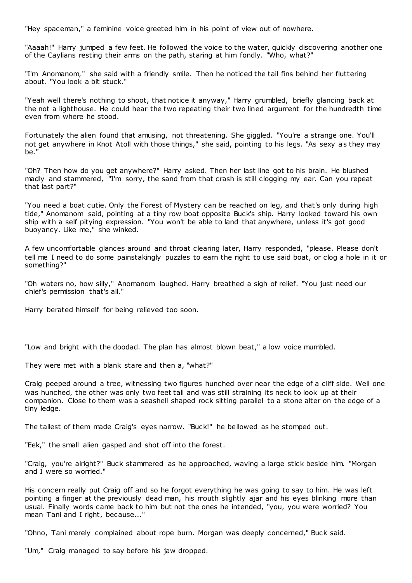"Hey spaceman," a feminine voice greeted him in his point of view out of nowhere.

"Aaaah!" Harry jumped a few feet. He followed the voice to the water, quickly discovering another one of the Caylians resting their arms on the path, staring at him fondly. "Who, what?"

"I'm Anomanom," she said with a friendly smile. Then he noticed the tail fins behind her fluttering about. "You look a bit stuck."

"Yeah well there's nothing to shoot, that notice it anyway," Harry grumbled, briefly glancing back at the not a lighthouse. He could hear the two repeating their two lined argument for the hundredth time even from where he stood.

Fortunately the alien found that amusing, not threatening. She giggled. "You're a strange one. You'll not get anywhere in Knot Atoll with those things," she said, pointing to his legs. "As sexy as they may be."

"Oh? Then how do you get anywhere?" Harry asked. Then her last line got to his brain. He blushed madly and stammered, "I'm sorry, the sand from that crash is still clogging my ear. Can you repeat that last part?"

"You need a boat cutie. Only the Forest of Mystery can be reached on leg, and that's only during high tide," Anomanom said, pointing at a tiny row boat opposite Buck's ship. Harry looked toward his own ship with a self pitying expression. "You won't be able to land that anywhere, unless it's got good buoyancy. Like me," she winked.

A few uncomfortable glances around and throat clearing later, Harry responded, "please. Please don't tell me I need to do some painstakingly puzzles to earn the right to use said boat, or clog a hole in it or something?"

"Oh waters no, how silly," Anomanom laughed. Harry breathed a sigh of relief. "You just need our chief's permission that's all."

Harry berated himself for being relieved too soon.

"Low and bright with the doodad. The plan has almost blown beat," a low voice mumbled.

They were met with a blank stare and then a, "what?"

Craig peeped around a tree, witnessing two figures hunched over near the edge of a cliff side. Well one was hunched, the other was only two feet tall and was still straining its neck to look up at their companion. Close to them was a seashell shaped rock sitting parallel to a stone alter on the edge of a tiny ledge.

The tallest of them made Craig's eyes narrow. "Buck!" he bellowed as he stomped out.

"Eek," the small alien gasped and shot off into the forest.

"Craig, you're alright?" Buck stammered as he approached, waving a large stick beside him. "Morgan and I were so worried."

His concern really put Craig off and so he forgot everything he was going to say to him. He was left pointing a finger at the previously dead man, his mouth slightly ajar and his eyes blinking more than usual. Finally words came back to him but not the ones he intended, "you, you were worried? You mean Tani and I right, because..."

"Ohno, Tani merely complained about rope burn. Morgan was deeply concerned," Buck said.

"Um," Craig managed to say before his jaw dropped.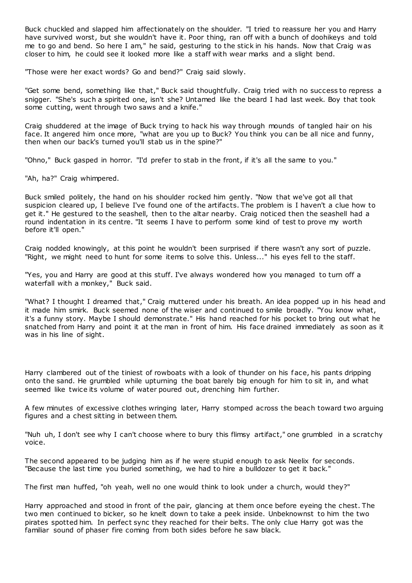Buck chuckled and slapped him affectionately on the shoulder. "I tried to reassure her you and Harry have survived worst, but she wouldn't have it. Poor thing, ran off with a bunch of doohikeys and told me to go and bend. So here I am," he said, gesturing to the stick in his hands. Now that Craig w as closer to him, he could see it looked more like a staff with wear marks and a slight bend.

"Those were her exact words? Go and bend?" Craig said slowly.

"Get some bend, something like that," Buck said thoughtfully. Craig tried with no success to repress a snigger. "She's such a spirited one, isn't she? Untamed like the beard I had last week. Boy that took some cutting, went through two saws and a knife."

Craig shuddered at the image of Buck trying to hack his way through mounds of tangled hair on his face. It angered him once more, "what are you up to Buck? You think you can be all nice and funny, then when our back's turned you'll stab us in the spine?"

"Ohno," Buck gasped in horror. "I'd prefer to stab in the front, if it's all the same to you."

"Ah, ha?" Craig whimpered.

Buck smiled politely, the hand on his shoulder rocked him gently. "Now that we've got all that suspicion cleared up, I believe I've found one of the artifacts. The problem is I haven't a clue how to get it." He gestured to the seashell, then to the altar nearby. Craig noticed then the seashell had a round indentation in its centre. "It seems I have to perform some kind of test to prove my worth before it'll open."

Craig nodded knowingly, at this point he wouldn't been surprised if there wasn't any sort of puzzle. "Right, we might need to hunt for some items to solve this. Unless..." his eyes fell to the staff.

"Yes, you and Harry are good at this stuff. I've always wondered how you managed to turn off a waterfall with a monkey," Buck said.

"What? I thought I dreamed that," Craig muttered under his breath. An idea popped up in his head and it made him smirk. Buck seemed none of the wiser and continued to smile broadly. "You know what, it's a funny story. Maybe I should demonstrate." His hand reached for his pocket to bring out what he snatched from Harry and point it at the man in front of him. His face drained immediately as soon as it was in his line of sight.

Harry clambered out of the tiniest of rowboats with a look of thunder on his face, his pants dripping onto the sand. He grumbled while upturning the boat barely big enough for him to sit in, and what seemed like twice its volume of water poured out, drenching him further.

A few minutes of excessive clothes wringing later, Harry stomped across the beach toward two arguing figures and a chest sitting in between them.

"Nuh uh, I don't see why I can't choose where to bury this flimsy artifact," one grumbled in a scratchy voice.

The second appeared to be judging him as if he were stupid enough to ask Neelix for seconds. "Because the last time you buried something, we had to hire a bulldozer to get it back."

The first man huffed, "oh yeah, well no one would think to look under a church, would they?"

Harry approached and stood in front of the pair, glancing at them once before eyeing the chest. The two men continued to bicker, so he knelt down to take a peek inside. Unbeknownst to him the two pirates spotted him. In perfect sync they reached for their belts. The only clue Harry got was the familiar sound of phaser fire coming from both sides before he saw black.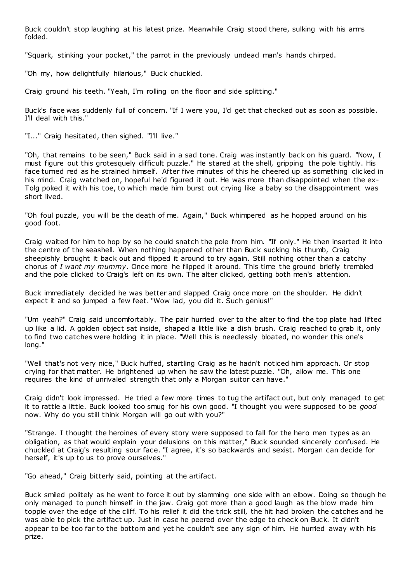Buck couldn't stop laughing at his latest prize. Meanwhile Craig stood there, sulking with his arms folded.

"Squark, stinking your pocket," the parrot in the previously undead man's hands chirped.

"Oh my, how delightfully hilarious," Buck chuckled.

Craig ground his teeth. "Yeah, I'm rolling on the floor and side splitting."

Buck's face was suddenly full of concern. "If I were you, I'd get that checked out as soon as possible. I'll deal with this."

"I..." Craig hesitated, then sighed. "I'll live."

"Oh, that remains to be seen," Buck said in a sad tone. Craig was instantly back on his guard. "Now, I must figure out this grotesquely difficult puzzle." He stared at the shell, gripping the pole tightly. His face turned red as he strained himself. After five minutes of this he cheered up as something clicked in his mind. Craig watched on, hopeful he'd figured it out. He was more than disappointed when the ex-Tolg poked it with his toe, to which made him burst out crying like a baby so the disappointment was short lived.

"Oh foul puzzle, you will be the death of me. Again," Buck whimpered as he hopped around on his good foot.

Craig waited for him to hop by so he could snatch the pole from him. "If only." He then inserted it into the centre of the seashell. When nothing happened other than Buck sucking his thumb, Craig sheepishly brought it back out and flipped it around to try again. Still nothing other than a catchy chorus of *I want my mummy*. Once more he flipped it around. This time the ground briefly trembled and the pole clicked to Craig's left on its own. The alter clicked, getting both men's attention.

Buck immediately decided he was better and slapped Craig once more on the shoulder. He didn't expect it and so jumped a few feet. "Wow lad, you did it. Such genius!"

"Um yeah?" Craig said uncomfortably. The pair hurried over to the alter to find the top plate had lifted up like a lid. A golden object sat inside, shaped a little like a dish brush. Craig reached to grab it, only to find two catches were holding it in place. "Well this is needlessly bloated, no wonder this one's long."

"Well that's not very nice," Buck huffed, startling Craig as he hadn't noticed him approach. Or stop crying for that matter. He brightened up when he saw the latest puzzle. "Oh, allow me. This one requires the kind of unrivaled strength that only a Morgan suitor can have."

Craig didn't look impressed. He tried a few more times to tug the artifact out, but only managed to get it to rattle a little. Buck looked too smug for his own good. "I thought you were supposed to be *good*  now. Why do you still think Morgan will go out with you?"

"Strange. I thought the heroines of every story were supposed to fall for the hero men types as an obligation, as that would explain your delusions on this matter," Buck sounded sincerely confused. He chuckled at Craig's resulting sour face. "I agree, it's so backwards and sexist. Morgan can decide for herself, it's up to us to prove ourselves."

"Go ahead," Craig bitterly said, pointing at the artifact.

Buck smiled politely as he went to force it out by slamming one side with an elbow. Doing so though he only managed to punch himself in the jaw. Craig got more than a good laugh as the blow made him topple over the edge of the cliff. To his relief it did the trick still, the hit had broken the catches and he was able to pick the artifact up. Just in case he peered over the edge to check on Buck. It didn't appear to be too far to the bottom and yet he couldn't see any sign of him. He hurried away with his prize.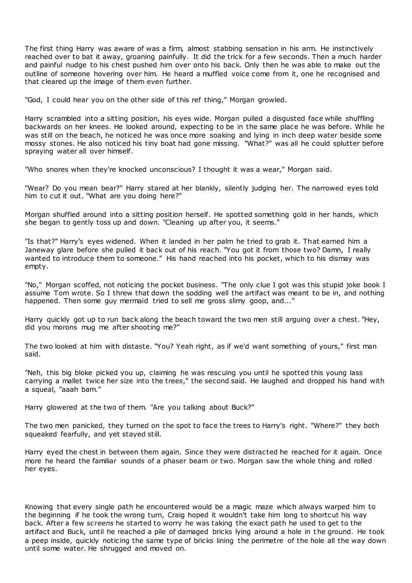The first thing Harry was aware of was a firm, almost stabbing sensation in his arm. He instinctively reached over to bat it away, groaning painfully. It did the trick for a few seconds. Then a much harder and painful nudge to his chest pushed him over onto his back. Only then he was able to make out the outline of someone hovering over him. He heard a muffled voice come from it, one he recognised and that cleared up the image of them even further.

"God, I could hear you on the other side of this ref thing," Morgan growled.

Harry scrambled into a sitting position, his eyes wide. Morgan pulled a disgusted face while shuffling backwards on her knees. He looked around, expecting to be in the same place he was before. While he was still on the beach, he noticed he was once more soaking and lying in inch deep water beside some mossy stones. He also noticed his tiny boat had gone missing. "What?" was all he could splutter before spraying water all over himself.

"Who snores when they're knocked unconscious? I thought it was a wear," Morgan said.

"Wear? Do you mean bear?" Harry stared at her blankly, silently judging her. The narrowed eyes told him to cut it out. "What are you doing here?"

Morgan shuffled around into a sitting position herself. He spotted something gold in her hands, which she began to gently toss up and down. "Cleaning up after you, it seems."

"Is that?" Harry's eyes widened. When it landed in her palm he tried to grab it. That earned him a Janeway glare before she pulled it back out of his reach. "You got it from those two? Damn, I really wanted to introduce them to someone." His hand reached into his pocket, which to his dismay was empty.

"No," Morgan scoffed, not noticing the pocket business. "The only clue I got was this stupid joke book I assume Tom wrote. So I threw that down the sodding well the artifact was meant to be in, and nothing happened. Then some guy mermaid tried to sell me gross slimy goop, and..."

Harry quickly got up to run back along the beach toward the two men still arguing over a chest. "Hey, did you morons mug me after shooting me?"

The two looked at him with distaste. "You? Yeah right, as if we'd want something of yours," first man said.

"Neh, this big bloke picked you up, claiming he was rescuing you until he spotted this young lass carrying a mallet twice her size into the trees," the second said. He laughed and dropped his hand with a squeal, "aaah bam."

Harry glowered at the two of them. "Are you talking about Buck?"

The two men panicked, they turned on the spot to face the trees to Harry's right. "Where?" they both squeaked fearfully, and yet stayed still.

Harry eyed the chest in between them again. Since they were distracted he reached for it again. Once more he heard the familiar sounds of a phaser beam or two. Morgan saw the whole thing and rolled her eyes.

Knowing that every single path he encountered would be a magic maze which always warped him to the beginning if he took the wrong turn, Craig hoped it wouldn't take him long to shortcut his way back. After a few *screens* he started to worry he was taking the exact path he used to get to the artifact and Buck, until he reached a pile of damaged bricks lying around a hole in t he ground. He took a peep inside, quickly noticing the same type of bricks lining the perimetre of the hole all the way down until some water. He shrugged and moved on.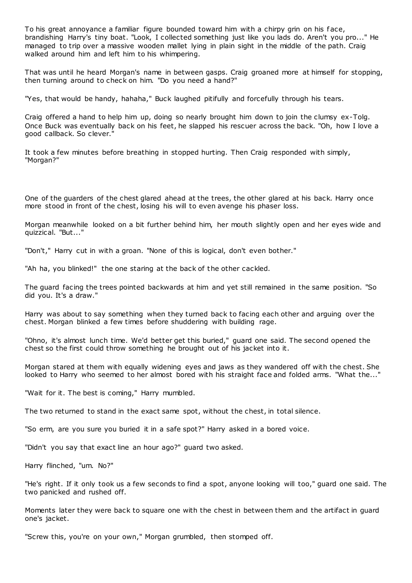To his great annoyance a familiar figure bounded toward him with a chirpy grin on his face, brandishing Harry's tiny boat. "Look, I collected something just like you lads do. Aren't you pro..." He managed to trip over a massive wooden mallet lying in plain sight in the middle of the path. Craig walked around him and left him to his whimpering.

That was until he heard Morgan's name in between gasps. Craig groaned more at himself for stopping, then turning around to check on him. "Do you need a hand?"

"Yes, that would be handy, hahaha," Buck laughed pitifully and forcefully through his tears.

Craig offered a hand to help him up, doing so nearly brought him down to join the clumsy ex-Tolg. Once Buck was eventually back on his feet, he slapped his rescuer across the back. "Oh, how I love a good callback. So clever."

It took a few minutes before breathing in stopped hurting. Then Craig responded with simply, "Morgan?"

One of the guarders of the chest glared ahead at the trees, the other glared at his back. Harry once more stood in front of the chest, losing his will to even avenge his phaser loss.

Morgan meanwhile looked on a bit further behind him, her mouth slightly open and her eyes wide and quizzical. "But..."

"Don't," Harry cut in with a groan. "None of this is logical, don't even bother."

"Ah ha, you blinked!" the one staring at the back of the other cackled.

The guard facing the trees pointed backwards at him and yet still remained in the same position. "So did you. It's a draw."

Harry was about to say something when they turned back to facing each other and arguing over the chest. Morgan blinked a few times before shuddering with building rage.

"Ohno, it's almost lunch time. We'd better get this buried," guard one said. The second opened the chest so the first could throw something he brought out of his jacket into it.

Morgan stared at them with equally widening eyes and jaws as they wandered off with the chest. She looked to Harry who seemed to her almost bored with his straight face and folded arms. "What the..."

"Wait for it. The best is coming," Harry mumbled.

The two returned to stand in the exact same spot, without the chest, in total silence.

"So erm, are you sure you buried it in a safe spot?" Harry asked in a bored voice.

"Didn't you say that exact line an hour ago?" guard two asked.

Harry flinched, "um. No?"

"He's right. If it only took us a few seconds to find a spot, anyone looking will too," guard one said. The two panicked and rushed off.

Moments later they were back to square one with the chest in between them and the artifact in guard one's jacket.

"Screw this, you're on your own," Morgan grumbled, then stomped off.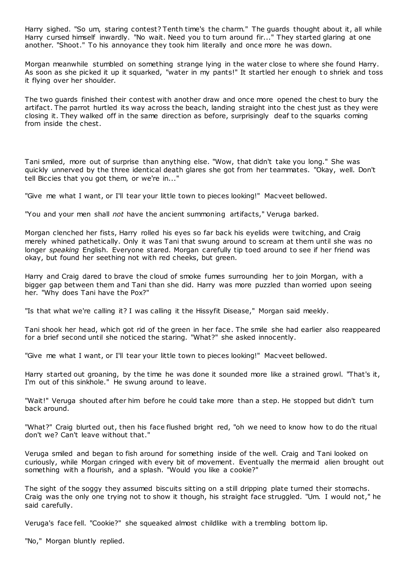Harry sighed. "So um, staring contest? Tenth time's the charm." The guards thought about it, all while Harry cursed himself inwardly. "No wait. Need you to turn around fir..." They started glaring at one another. "Shoot." To his annoyance they took him literally and once more he was down.

Morgan meanwhile stumbled on something strange lying in the water close to where she found Harry. As soon as she picked it up it squarked, "water in my pants!" It startled her enough to shriek and toss it flying over her shoulder.

The two guards finished their contest with another draw and once more opened the chest to bury the artifact. The parrot hurtled its way across the beach, landing straight into the chest just as they were closing it. They walked off in the same direction as before, surprisingly deaf to the squarks coming from inside the chest.

Tani smiled, more out of surprise than anything else. "Wow, that didn't take you long." She was quickly unnerved by the three identical death glares she got from her teammates. "Okay, well. Don't tell Biccies that you got them, or we're in..."

"Give me what I want, or I'll tear your little town to pieces looking!" Macveet bellowed.

"You and your men shall *not* have the ancient summoning artifacts," Veruga barked.

Morgan clenched her fists, Harry rolled his eyes so far back his eyelids were twitching, and Craig merely whined pathetically. Only it was Tani that swung around to scream at them until she was no longer *speaking* English. Everyone stared. Morgan carefully tip toed around to see if her friend was okay, but found her seething not with red cheeks, but green.

Harry and Craig dared to brave the cloud of smoke fumes surrounding her to join Morgan, with a bigger gap between them and Tani than she did. Harry was more puzzled than worried upon seeing her. "Why does Tani have the Pox?"

"Is that what we're calling it? I was calling it the Hissyfit Disease," Morgan said meekly.

Tani shook her head, which got rid of the green in her face. The smile she had earlier also reappeared for a brief second until she noticed the staring. "What?" she asked innocently.

"Give me what I want, or I'll tear your little town to pieces looking!" Macveet bellowed.

Harry started out groaning, by the time he was done it sounded more like a strained growl. "That's it, I'm out of this sinkhole." He swung around to leave.

"Wait!" Veruga shouted after him before he could take more than a step. He stopped but didn't turn back around.

"What?" Craig blurted out, then his face flushed bright red, "oh we need to know how to do the ritual don't we? Can't leave without that."

Veruga smiled and began to fish around for something inside of the well. Craig and Tani looked on curiously, while Morgan cringed with every bit of movement. Eventually the mermaid alien brought out something with a flourish, and a splash. "Would you like a cookie?"

The sight of the soggy they assumed biscuits sitting on a still dripping plate turned their stomachs. Craig was the only one trying not to show it though, his straight face struggled. "Um. I would not," he said carefully.

Veruga's face fell. "Cookie?" she squeaked almost childlike with a trembling bottom lip.

"No," Morgan bluntly replied.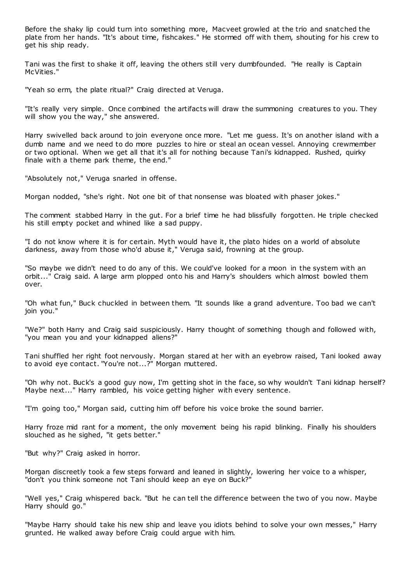Before the shaky lip could turn into something more, Macveet growled at the trio and snatched the plate from her hands. "It's about time, fishcakes." He stormed off with them, shouting for his crew to get his ship ready.

Tani was the first to shake it off, leaving the others still very dumbfounded. "He really is Captain McVities."

"Yeah so erm, the plate ritual?" Craig directed at Veruga.

"It's really very simple. Once combined the artifacts will draw the summoning creatures to you. They will show you the way," she answered.

Harry swivelled back around to join everyone once more. "Let me guess. It's on another island with a dumb name and we need to do more puzzles to hire or steal an ocean vessel. Annoying crewmember or two optional. When we get all that it's all for nothing because Tani's kidnapped. Rushed, quirky finale with a theme park theme, the end."

"Absolutely not," Veruga snarled in offense.

Morgan nodded, "she's right. Not one bit of that nonsense was bloated with phaser jokes."

The comment stabbed Harry in the gut. For a brief time he had blissfully forgotten. He triple checked his still empty pocket and whined like a sad puppy.

"I do not know where it is for certain. Myth would have it, the plato hides on a world of absolute darkness, away from those who'd abuse it," Veruga said, frowning at the group.

"So maybe we didn't need to do any of this. We could've looked for a moon in the system with an orbit..." Craig said. A large arm plopped onto his and Harry's shoulders which almost bowled them over.

"Oh what fun," Buck chuckled in between them. "It sounds like a grand adventure. Too bad we can't join you."

"We?" both Harry and Craig said suspiciously. Harry thought of something though and followed with, "you mean you and your kidnapped aliens?"

Tani shuffled her right foot nervously. Morgan stared at her with an eyebrow raised, Tani looked away to avoid eye contact. "You're not...?" Morgan muttered.

"Oh why not. Buck's a good guy now, I'm getting shot in the face, so why wouldn't Tani kidnap herself? Maybe next..." Harry rambled, his voice getting higher with every sentence.

"I'm going too," Morgan said, cutting him off before his voice broke the sound barrier.

Harry froze mid rant for a moment, the only movement being his rapid blinking. Finally his shoulders slouched as he sighed, "it gets better."

"But why?" Craig asked in horror.

Morgan discreetly took a few steps forward and leaned in slightly, lowering her voice to a whisper, "don't you think someone not Tani should keep an eye on Buck?"

"Well yes," Craig whispered back. "But he can tell the difference between the two of you now. Maybe Harry should go."

"Maybe Harry should take his new ship and leave you idiots behind to solve your own messes," Harry grunted. He walked away before Craig could argue with him.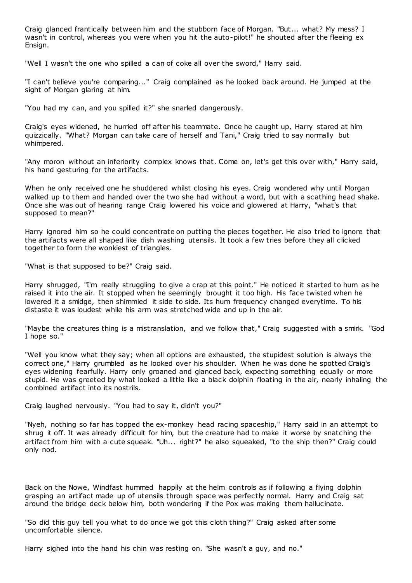Craig glanced frantically between him and the stubborn face of Morgan. "But... what? My mess? I wasn't in control, whereas you were when you hit the auto-pilot!" he shouted after the fleeing ex Ensign.

"Well I wasn't the one who spilled a can of coke all over the sword," Harry said.

"I can't believe you're comparing..." Craig complained as he looked back around. He jumped at the sight of Morgan glaring at him.

"You had my can, and you spilled it?" she snarled dangerously.

Craig's eyes widened, he hurried off after his teammate. Once he caught up, Harry stared at him quizzically. "What? Morgan can take care of herself and Tani," Craig tried to say normally but whimpered.

"Any moron without an inferiority complex knows that. Come on, let's get this over with," Harry said, his hand gesturing for the artifacts.

When he only received one he shuddered whilst closing his eyes. Craig wondered why until Morgan walked up to them and handed over the two she had without a word, but with a scathing head shake. Once she was out of hearing range Craig lowered his voice and glowered at Harry, "what's that supposed to mean?"

Harry ignored him so he could concentrate on putting the pieces together. He also tried to ignore that the artifacts were all shaped like dish washing utensils. It took a few tries before they all clicked together to form the wonkiest of triangles.

"What is that supposed to be?" Craig said.

Harry shrugged, "I'm really struggling to give a crap at this point." He noticed it started to hum as he raised it into the air. It stopped when he seemingly brought it too high. His face twisted when he lowered it a smidge, then shimmied it side to side. Its hum frequency changed everytime. To his distaste it was loudest while his arm was stretched wide and up in the air.

"Maybe the creatures thing is a mistranslation, and we follow that," Craig suggested with a smirk. "God I hope so."

"Well you know what they say; when all options are exhausted, the stupidest solution is always the correct one," Harry grumbled as he looked over his shoulder. When he was done he spotted Craig's eyes widening fearfully. Harry only groaned and glanced back, expecting something equally or more stupid. He was greeted by what looked a little like a black dolphin floating in the air, nearly inhaling the combined artifact into its nostrils.

Craig laughed nervously. "You had to say it, didn't you?"

"Nyeh, nothing so far has topped the ex-monkey head racing spaceship," Harry said in an attempt to shrug it off. It was already difficult for him, but the creature had to make it worse by snatching the artifact from him with a cute squeak. "Uh... right?" he also squeaked, "to the ship then?" Craig could only nod.

Back on the Nowe, Windfast hummed happily at the helm controls as if following a flying dolphin grasping an artifact made up of utensils through space was perfectly normal. Harry and Craig sat around the bridge deck below him, both wondering if the Pox was making them hallucinate.

"So did this guy tell you what to do once we got this cloth thing?" Craig asked after some uncomfortable silence.

Harry sighed into the hand his chin was resting on. "She wasn't a guy, and no."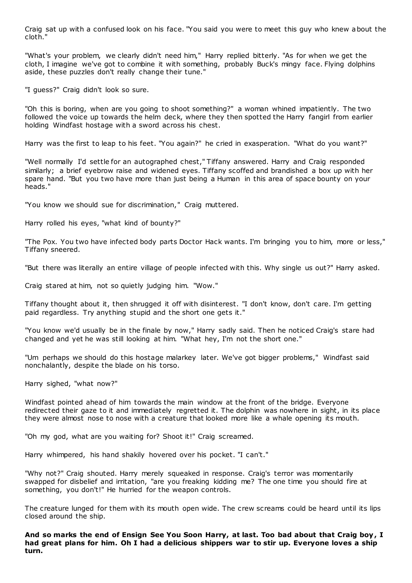Craig sat up with a confused look on his face. "You said you were to meet this guy who knew about the cloth."

"What's your problem, we clearly didn't need him," Harry replied bitterly. "As for when we get the cloth, I imagine we've got to combine it with something, probably Buck's mingy face. Flying dolphins aside, these puzzles don't really change their tune."

"I guess?" Craig didn't look so sure.

"Oh this is boring, when are you going to shoot something?" a woman whined impatiently. The two followed the voice up towards the helm deck, where they then spotted the Harry fangirl from earlier holding Windfast hostage with a sword across his chest.

Harry was the first to leap to his feet. "You again?" he cried in exasperation. "What do you want?"

"Well normally I'd settle for an autographed chest," Tiffany answered. Harry and Craig responded similarly; a brief eyebrow raise and widened eyes. Tiffany scoffed and brandished a box up with her spare hand. "But you two have more than just being a Human in this area of space bounty on your heads."

"You know we should sue for discrimination," Craig muttered.

Harry rolled his eyes, "what kind of bounty?"

"The Pox. You two have infected body parts Doctor Hack wants. I'm bringing you to him, more or less," Tiffany sneered.

"But there was literally an entire village of people infected with this. Why single us out?" Harry asked.

Craig stared at him, not so quietly judging him. "Wow."

Tiffany thought about it, then shrugged it off with disinterest. "I don't know, don't care. I'm getting paid regardless. Try anything stupid and the short one gets it."

"You know we'd usually be in the finale by now," Harry sadly said. Then he noticed Craig's stare had changed and yet he was still looking at him. "What hey, I'm not the short one."

"Um perhaps we should do this hostage malarkey later. We've got bigger problems," Windfast said nonchalantly, despite the blade on his torso.

Harry sighed, "what now?"

Windfast pointed ahead of him towards the main window at the front of the bridge. Everyone redirected their gaze to it and immediately regretted it. The dolphin was nowhere in sight, in its place they were almost nose to nose with a creature that looked more like a whale opening its mouth.

"Oh my god, what are you waiting for? Shoot it!" Craig screamed.

Harry whimpered, his hand shakily hovered over his pocket. "I can't."

"Why not?" Craig shouted. Harry merely squeaked in response. Craig's terror was momentarily swapped for disbelief and irritation, "are you freaking kidding me? The one time you should fire at something, you don't!" He hurried for the weapon controls.

The creature lunged for them with its mouth open wide. The crew screams could be heard until its lips closed around the ship.

**And so marks the end of Ensign See You Soon Harry, at last. Too bad about that Craig boy, I had great plans for him. Oh I had a delicious shippers war to stir up. Everyone loves a ship turn.**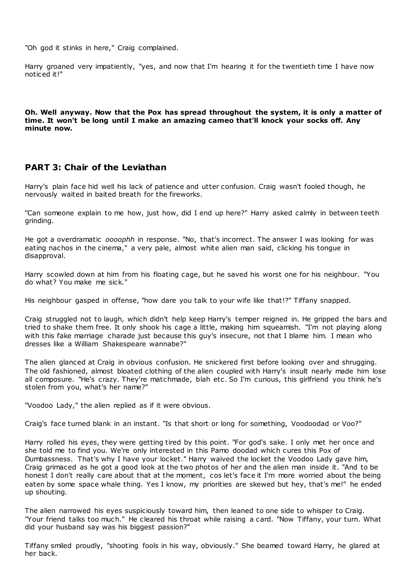"Oh god it stinks in here," Craig complained.

Harry groaned very impatiently, "yes, and now that I'm hearing it for the twentieth time I have now noticed it!"

**Oh. Well anyway. Now that the Pox has spread throughout the system, it is only a matter of time. It won't be long until I make an amazing cameo that'll knock your socks off. Any minute now.**

## **PART 3: Chair of the Leviathan**

Harry's plain face hid well his lack of patience and utter confusion. Craig wasn't fooled though, he nervously waited in baited breath for the fireworks.

"Can someone explain to me how, just how, did I end up here?" Harry asked calmly in between teeth grinding.

He got a overdramatic *oooophh* in response. "No, that's incorrect. The answer I was looking for was eating nachos in the cinema," a very pale, almost white alien man said, clicking his tongue in disapproval.

Harry scowled down at him from his floating cage, but he saved his worst one for his neighbour. "You do what? You make me sick."

His neighbour gasped in offense, "how dare you talk to your wife like that!?" Tiffany snapped.

Craig struggled not to laugh, which didn't help keep Harry's temper reigned in. He gripped the bars and tried to shake them free. It only shook his cage a little, making him squeamish. "I'm not playing along with this fake marriage charade just because this guy's insecure, not that I blame him. I mean who dresses like a William Shakespeare wannabe?"

The alien glanced at Craig in obvious confusion. He snickered first before looking over and shrugging. The old fashioned, almost bloated clothing of the alien coupled with Harry's insult nearly made him lose all composure. "He's crazy. They're matchmade, blah etc . So I'm curious, this girlfriend you think he's stolen from you, what's her name?"

"Voodoo Lady," the alien replied as if it were obvious.

Craig's face turned blank in an instant. "Is that short or long for something, Voodoodad or Voo?"

Harry rolled his eyes, they were getting tired by this point. "For god's sake. I only met her once and she told me to find you. We're only interested in this Pamo doodad which cures this Pox of Dumbassness. That's why I have your locket." Harry waived the locket the Voodoo Lady gave him, Craig grimaced as he got a good look at the two photos of her and the alien man inside it. "And to be honest I don't really care about that at the moment, cos let's face it I'm more worried about the being eaten by some space whale thing. Yes I know, my priorities are skewed but hey, that's me!" he ended up shouting.

The alien narrowed his eyes suspiciously toward him, then leaned to one side to whisper to Craig. "Your friend talks too much." He cleared his throat while raising a card. "Now Tiffany, your turn. What did your husband say was his biggest passion?"

Tiffany smiled proudly, "shooting fools in his way, obviously." She beamed toward Harry, he glared at her back.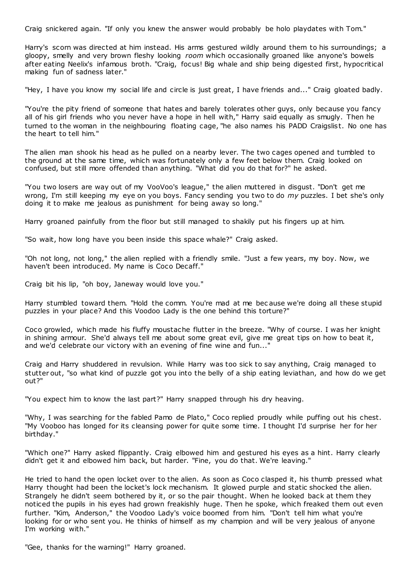Craig snickered again. "If only you knew the answer would probably be holo playdates with Tom."

Harry's scorn was directed at him instead. His arms gestured wildly around them to his surroundings; a gloopy, smelly and very brown fleshy looking *room* which occasionally groaned like anyone's bowels after eating Neelix's infamous broth. "Craig, focus! Big whale and ship being digested first, hypocritical making fun of sadness later."

"Hey, I have you know my social life and circle is just great, I have friends and..." Craig gloated badly.

"You're the pity friend of someone that hates and barely tolerates other guys, only because you fancy all of his girl friends who you never have a hope in hell with," Harry said equally as smugly. Then he turned to the woman in the neighbouring floating cage, "he also names his PADD Craigslist. No one has the heart to tell him."

The alien man shook his head as he pulled on a nearby lever. The two cages opened and tumbled to the ground at the same time, which was fortunately only a few feet below them. Craig looked on confused, but still more offended than anything. "What did you do that for?" he asked.

"You two losers are way out of my VooVoo's league," the alien muttered in disgust. "Don't get me wrong, I'm still keeping my eye on you boys. Fancy sending you two to do *my* puzzles. I bet she's only doing it to make me jealous as punishment for being away so long."

Harry groaned painfully from the floor but still managed to shakily put his fingers up at him.

"So wait, how long have you been inside this space whale?" Craig asked.

"Oh not long, not long," the alien replied with a friendly smile. "Just a few years, my boy. Now, we haven't been introduced. My name is Coco Decaff."

Craig bit his lip, "oh boy, Janeway would love you."

Harry stumbled toward them. "Hold the comm. You're mad at me bec ause we're doing all these stupid puzzles in your place? And this Voodoo Lady is the one behind this torture?"

Coco growled, which made his fluffy moustache flutter in the breeze. "Why of course. I was her knight in shining armour. She'd always tell me about some great evil, give me great tips on how to beat it, and we'd celebrate our victory with an evening of fine wine and fun..."

Craig and Harry shuddered in revulsion. While Harry was too sick to say anything, Craig managed to stutter out, "so what kind of puzzle got you into the belly of a ship eating leviathan, and how do we get out?"

"You expect him to know the last part?" Harry snapped through his dry heaving.

"Why, I was searching for the fabled Pamo de Plato," Coco replied proudly while puffing out his chest. "My Vooboo has longed for its cleansing power for quite some time. I thought I'd surprise her for her birthday."

"Which one?" Harry asked flippantly. Craig elbowed him and gestured his eyes as a hint. Harry clearly didn't get it and elbowed him back, but harder. "Fine, you do that. We're leaving."

He tried to hand the open locket over to the alien. As soon as Coco clasped it, his thumb pressed what Harry thought had been the locket's lock mechanism. It glowed purple and static shocked the alien. Strangely he didn't seem bothered by it, or so the pair thought. When he looked back at them they noticed the pupils in his eyes had grown freakishly huge. Then he spoke, which freaked them out even further. "Kim, Anderson," the Voodoo Lady's voice boomed from him. "Don't tell him what you're looking for or who sent you. He thinks of himself as my champion and will be very jealous of anyone I'm working with."

"Gee, thanks for the warning!" Harry groaned.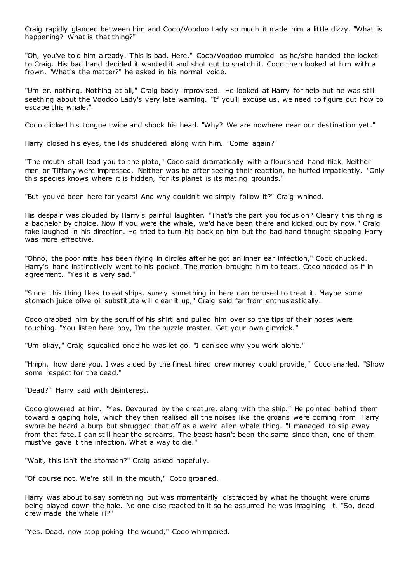Craig rapidly glanced between him and Coco/Voodoo Lady so much it made him a little dizzy. "What is happening? What is that thing?"

"Oh, you've told him already. This is bad. Here," Coco/Voodoo mumbled as he/she handed the locket to Craig. His bad hand decided it wanted it and shot out to snatch it. Coco then looked at him with a frown. "What's the matter?" he asked in his normal voice.

"Um er, nothing. Nothing at all," Craig badly improvised. He looked at Harry for help but he was still seething about the Voodoo Lady's very late warning. "If you'll excuse us, we need to figure out how to escape this whale."

Coco clicked his tongue twice and shook his head. "Why? We are nowhere near our destination yet."

Harry closed his eyes, the lids shuddered along with him. "Come again?"

"The mouth shall lead you to the plato," Coco said dramatically with a flourished hand flick. Neither men or Tiffany were impressed. Neither was he after seeing their reaction, he huffed impatiently. "Only this species knows where it is hidden, for its planet is its mating grounds."

"But you've been here for years! And why couldn't we simply follow it?" Craig whined.

His despair was clouded by Harry's painful laughter. "That's the part you focus on? Clearly this thing is a bachelor by choice. Now if you were the whale, we'd have been there and kicked out by now." Craig fake laughed in his direction. He tried to turn his back on him but the bad hand thought slapping Harry was more effective.

"Ohno, the poor mite has been flying in circles after he got an inner ear infection," Coco chuckled. Harry's hand instinctively went to his pocket. The motion brought him to tears. Coco nodded as if in agreement. "Yes it is very sad."

"Since this thing likes to eat ships, surely something in here can be used to treat it. Maybe some stomach juice olive oil substitute will clear it up," Craig said far from enthusiastically.

Coco grabbed him by the scruff of his shirt and pulled him over so the tips of their noses were touching. "You listen here boy, I'm the puzzle master. Get your own gimmick."

"Um okay," Craig squeaked once he was let go. "I can see why you work alone."

"Hmph, how dare you. I was aided by the finest hired crew money could provide," Coco snarled. "Show some respect for the dead."

"Dead?" Harry said with disinterest.

Coco glowered at him. "Yes. Devoured by the creature, along with the ship." He pointed behind them toward a gaping hole, which they then realised all the noises like the groans were coming from. Harry swore he heard a burp but shrugged that off as a weird alien whale thing. "I managed to slip away from that fate. I can still hear the screams. The beast hasn't been the same since then, one of them must've gave it the infection. What a way to die."

"Wait, this isn't the stomach?" Craig asked hopefully.

"Of course not. We're still in the mouth," Coco groaned.

Harry was about to say something but was momentarily distracted by what he thought were drums being played down the hole. No one else reacted to it so he assumed he was imagining it. "So, dead crew made the whale ill?"

"Yes. Dead, now stop poking the wound," Coco whimpered.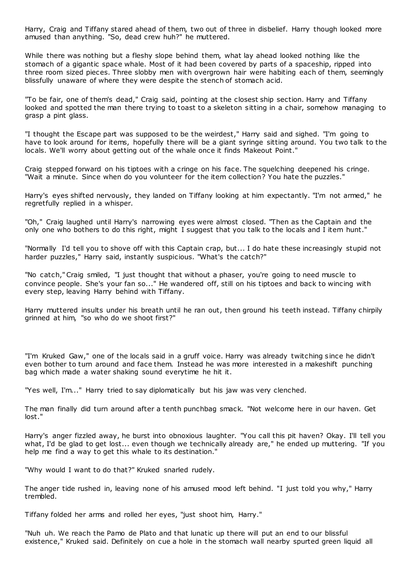Harry, Craig and Tiffany stared ahead of them, two out of three in disbelief. Harry though looked more amused than anything. "So, dead crew huh?" he muttered.

While there was nothing but a fleshy slope behind them, what lay ahead looked nothing like the stomach of a gigantic space whale. Most of it had been covered by parts of a spaceship, ripped into three room sized pieces. Three slobby men with overgrown hair were habiting each of them, seemingly blissfully unaware of where they were despite the stench of stomach acid.

"To be fair, one of them's dead," Craig said, pointing at the closest ship section. Harry and Tiffany looked and spotted the man there trying to toast to a skeleton sitting in a chair, somehow managing to grasp a pint glass.

"I thought the Escape part was supposed to be the weirdest," Harry said and sighed. "I'm going to have to look around for items, hopefully there will be a giant syringe sitting around. You two talk to the locals. We'll worry about getting out of the whale once it finds Makeout Point."

Craig stepped forward on his tiptoes with a cringe on his face. The squelching deepened his cringe. "Wait a minute. Since when do you volunteer for the item collection? You hate the puzzles."

Harry's eyes shifted nervously, they landed on Tiffany looking at him expectantly. "I'm not armed," he regretfully replied in a whisper.

"Oh," Craig laughed until Harry's narrowing eyes were almost closed. "Then as the Captain and the only one who bothers to do this right, might I suggest that you talk to the locals and I item hunt."

"Normally I'd tell you to shove off with this Captain crap, but... I do hate these increasingly stupid not harder puzzles," Harry said, instantly suspicious. "What's the catch?"

"No catch," Craig smiled, "I just thought that without a phaser, you're going to need muscle to convince people. She's your fan so..." He wandered off, still on his tiptoes and back to wincing with every step, leaving Harry behind with Tiffany.

Harry muttered insults under his breath until he ran out, then ground his teeth instead. Tiffany chirpily grinned at him, "so who do we shoot first?"

"I'm Kruked Gaw," one of the locals said in a gruff voice. Harry was already twitching since he didn't even bother to turn around and face them. Instead he was more interested in a makeshift punching bag which made a water shaking sound everytime he hit it.

"Yes well, I'm..." Harry tried to say diplomatically but his jaw was very clenched.

The man finally did turn around after a tenth punchbag smack. "Not welcome here in our haven. Get lost."

Harry's anger fizzled away, he burst into obnoxious laughter. "You call this pit haven? Okay. I'll tell you what, I'd be glad to get lost... even though we technically already are," he ended up muttering. "If you help me find a way to get this whale to its destination."

"Why would I want to do that?" Kruked snarled rudely.

The anger tide rushed in, leaving none of his amused mood left behind. "I just told you why," Harry trembled.

Tiffany folded her arms and rolled her eyes, "just shoot him, Harry."

"Nuh uh. We reach the Pamo de Plato and that lunatic up there will put an end to our blissful existence," Kruked said. Definitely on cue a hole in the stomach wall nearby spurted green liquid all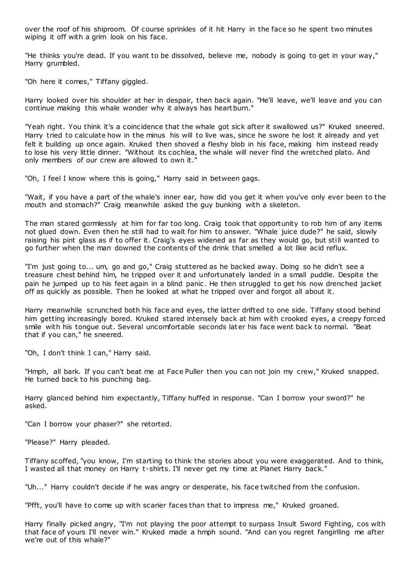over the roof of his shiproom. Of course sprinkles of it hit Harry in the face so he spent two minutes wiping it off with a grim look on his face.

"He thinks you're dead. If you want to be dissolved, believe me, nobody is going to get in your way," Harry grumbled.

"Oh here it comes," Tiffany giggled.

Harry looked over his shoulder at her in despair, then back again. "He'll leave, we'll leave and you can continue making this whale wonder why it always has heartburn."

"Yeah right. You think it's a coincidence that the whale got sick after it swallowed us?" Kruked sneered. Harry tried to calculate how in the minus his will to live was, since he swore he lost it already and yet felt it building up once again. Kruked then shoved a fleshy blob in his face, making him instead ready to lose his very little dinner. "Without its cochlea, the whale will never find the wretched plato. And only members of our crew are allowed to own it."

"Oh, I feel I know where this is going," Harry said in between gags.

"Wait, if you have a part of the whale's inner ear, how did you get it when you've only ever been to the mouth and stomach?" Craig meanwhile asked the guy bunking with a skeleton.

The man stared gormlessly at him for far too long. Craig took that opportunity to rob him of any items not glued down. Even then he still had to wait for him to answer. "Whale juice dude?" he said, slowly raising his pint glass as if to offer it. Craig's eyes widened as far as they would go, but still wanted to go further when the man downed the contents of the drink that smelled a lot like acid reflux.

"I'm just going to... um, go and go," Craig stuttered as he backed away. Doing so he didn't see a treasure chest behind him, he tripped over it and unfortunately landed in a small puddle. Despite the pain he jumped up to his feet again in a blind panic . He then struggled to get his now drenched jacket off as quickly as possible. Then he looked at what he tripped over and forgot all about it.

Harry meanwhile scrunched both his face and eyes, the latter drifted to one side. Tiffany stood behind him getting increasingly bored. Kruked stared intensely back at him with crooked eyes, a creepy forced smile with his tongue out. Several uncomfortable seconds later his face went back to normal. "Beat that if you can," he sneered.

"Oh, I don't think I can," Harry said.

"Hmph, all bark. If you can't beat me at Face Puller then you can not join my crew," Kruked snapped. He turned back to his punching bag.

Harry glanced behind him expectantly, Tiffany huffed in response. "Can I borrow your sword?" he asked.

"Can I borrow your phaser?" she retorted.

"Please?" Harry pleaded.

Tiffany scoffed, "you know, I'm starting to think the stories about you were exaggerated. And to think, I wasted all that money on Harry t-shirts. I'll never get my time at Planet Harry back."

"Uh..." Harry couldn't decide if he was angry or desperate, his face twitched from the confusion.

"Pfft, you'll have to come up with scarier faces than that to impress me," Kruked groaned.

Harry finally picked angry, "I'm not playing the poor attempt to surpass Insult Sword Fighting, cos with that face of yours I'll never win." Kruked made a hmph sound. "And can you regret fangirlling me after we're out of this whale?"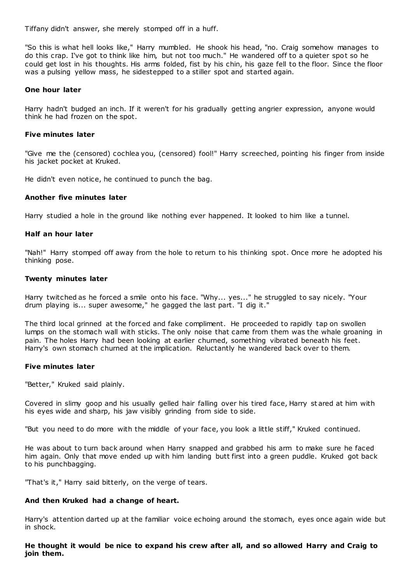Tiffany didn't answer, she merely stomped off in a huff.

"So this is what hell looks like," Harry mumbled. He shook his head, "no. Craig somehow manages to do this crap. I've got to think like him, but not too much." He wandered off to a quieter spot so he could get lost in his thoughts. His arms folded, fist by his chin, his gaze fell to the floor. Since the floor was a pulsing yellow mass, he sidestepped to a stiller spot and started again.

#### **One hour later**

Harry hadn't budged an inch. If it weren't for his gradually getting angrier expression, anyone would think he had frozen on the spot.

## **Five minutes later**

"Give me the (censored) cochlea you, (censored) fool!" Harry screeched, pointing his finger from inside his jacket pocket at Kruked.

He didn't even notice, he continued to punch the bag.

## **Another five minutes later**

Harry studied a hole in the ground like nothing ever happened. It looked to him like a tunnel.

## **Half an hour later**

"Nah!" Harry stomped off away from the hole to return to his thinking spot. Once more he adopted his thinking pose.

## **Twenty minutes later**

Harry twitched as he forced a smile onto his face. "Why... yes..." he struggled to say nicely. "Your drum playing is... super awesome," he gagged the last part. "I dig it."

The third local grinned at the forced and fake compliment. He proceeded to rapidly tap on swollen lumps on the stomach wall with sticks. The only noise that came from them was the whale groaning in pain. The holes Harry had been looking at earlier churned, something vibrated beneath his feet. Harry's own stomach churned at the implication. Reluctantly he wandered back over to them.

#### **Five minutes later**

"Better," Kruked said plainly.

Covered in slimy goop and his usually gelled hair falling over his tired face, Harry st ared at him with his eyes wide and sharp, his jaw visibly grinding from side to side.

"But you need to do more with the middle of your face, you look a little stiff," Kruked continued.

He was about to turn back around when Harry snapped and grabbed his arm to make sure he faced him again. Only that move ended up with him landing butt first into a green puddle. Kruked got back to his punchbagging.

"That's it," Harry said bitterly, on the verge of tears.

## **And then Kruked had a change of heart.**

Harry's attention darted up at the familiar voice echoing around the stomach, eyes once again wide but in shock.

**He thought it would be nice to expand his crew after all, and so allowed Harry and Craig to join them.**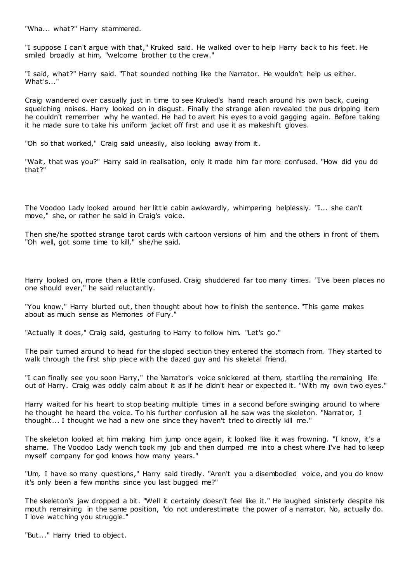"Wha... what?" Harry stammered.

"I suppose I can't argue with that," Kruked said. He walked over to help Harry back to his feet. He smiled broadly at him, "welcome brother to the crew."

"I said, what?" Harry said. "That sounded nothing like the Narrator. He wouldn't help us either. What's..."

Craig wandered over casually just in time to see Kruked's hand reach around his own back, cueing squelching noises. Harry looked on in disgust. Finally the strange alien revealed the pus dripping item he couldn't remember why he wanted. He had to avert his eyes to avoid gagging again. Before taking it he made sure to take his uniform jacket off first and use it as makeshift gloves.

"Oh so that worked," Craig said uneasily, also looking away from it.

"Wait, that was you?" Harry said in realisation, only it made him far more confused. "How did you do that?"

The Voodoo Lady looked around her little cabin awkwardly, whimpering helplessly. "I... she can't move," she, or rather he said in Craig's voice.

Then she/he spotted strange tarot cards with cartoon versions of him and the others in front of them. "Oh well, got some time to kill," she/he said.

Harry looked on, more than a little confused. Craig shuddered far too many times. "I've been places no one should ever," he said reluctantly.

"You know," Harry blurted out, then thought about how to finish the sentence. "This game makes about as much sense as Memories of Fury."

"Actually it does," Craig said, gesturing to Harry to follow him. "Let's go."

The pair turned around to head for the sloped section they entered the stomach from. They started to walk through the first ship piece with the dazed guy and his skeletal friend.

"I can finally see you soon Harry," the Narrator's voice snickered at them, startling the remaining life out of Harry. Craig was oddly calm about it as if he didn't hear or expected it. "With my own two eyes."

Harry waited for his heart to stop beating multiple times in a second before swinging around to where he thought he heard the voice. To his further confusion all he saw was the skeleton. "Narrat or, I thought... I thought we had a new one since they haven't tried to directly kill me."

The skeleton looked at him making him jump once again, it looked like it was frowning. "I know, it's a shame. The Voodoo Lady wench took my job and then dumped me into a chest where I've had to keep myself company for god knows how many years."

"Um, I have so many questions," Harry said tiredly. "Aren't you a disembodied voice, and you do know it's only been a few months since you last bugged me?"

The skeleton's jaw dropped a bit. "Well it certainly doesn't feel like it." He laughed sinisterly despite his mouth remaining in the same position, "do not underestimate the power of a narrator. No, actually do. I love watching you struggle."

"But..." Harry tried to object.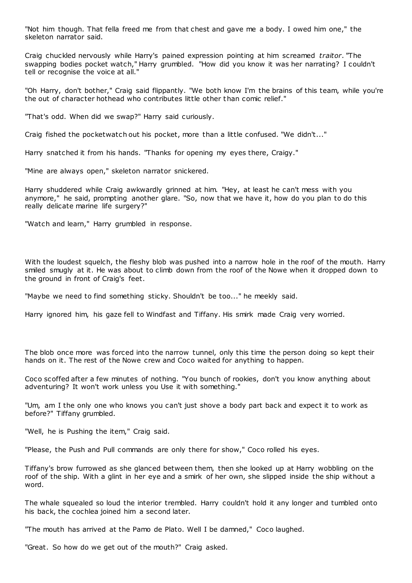"Not him though. That fella freed me from that chest and gave me a body. I owed him one," the skeleton narrator said.

Craig chuckled nervously while Harry's pained expression pointing at him screamed *traitor*. "The swapping bodies pocket watch," Harry grumbled. "How did you know it was her narrating? I couldn't tell or recognise the voice at all."

"Oh Harry, don't bother," Craig said flippantly. "We both know I'm the brains of this team, while you're the out of character hothead who contributes little other than comic relief."

"That's odd. When did we swap?" Harry said curiously.

Craig fished the pocketwatch out his pocket, more than a little confused. "We didn't..."

Harry snatched it from his hands. "Thanks for opening my eyes there, Craigy."

"Mine are always open," skeleton narrator snickered.

Harry shuddered while Craig awkwardly grinned at him. "Hey, at least he can't mess with you anymore," he said, prompting another glare. "So, now that we have it, how do you plan to do this really delicate marine life surgery?"

"Watch and learn," Harry grumbled in response.

With the loudest squelch, the fleshy blob was pushed into a narrow hole in the roof of the mouth. Harry smiled smugly at it. He was about to climb down from the roof of the Nowe when it dropped down to the ground in front of Craig's feet.

"Maybe we need to find something sticky. Shouldn't be too..." he meekly said.

Harry ignored him, his gaze fell to Windfast and Tiffany. His smirk made Craig very worried.

The blob once more was forced into the narrow tunnel, only this time the person doing so kept their hands on it. The rest of the Nowe crew and Coco waited for anything to happen.

Coco scoffed after a few minutes of nothing. "You bunch of rookies, don't you know anything about adventuring? It won't work unless you Use it with something."

"Um, am I the only one who knows you can't just shove a body part back and expect it to work as before?" Tiffany grumbled.

"Well, he is Pushing the item," Craig said.

"Please, the Push and Pull commands are only there for show," Coco rolled his eyes.

Tiffany's brow furrowed as she glanced between them, then she looked up at Harry wobbling on the roof of the ship. With a glint in her eye and a smirk of her own, she slipped inside the ship without a word.

The whale squealed so loud the interior trembled. Harry couldn't hold it any longer and tumbled onto his back, the cochlea joined him a second later.

"The mouth has arrived at the Pamo de Plato. Well I be damned," Coco laughed.

"Great. So how do we get out of the mouth?" Craig asked.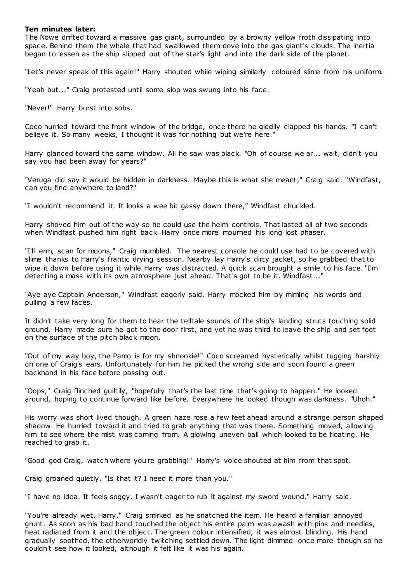#### **Ten minutes later:**

The Nowe drifted toward a massive gas giant, surrounded by a browny yellow froth dissipating into space. Behind them the whale that had swallowed them dove into the gas giant's clouds. The inertia began to lessen as the ship slipped out of the star's light and into the dark side of the planet.

"Let's never speak of this again!" Harry shouted while wiping similarly coloured slime from his uniform.

"Yeah but..." Craig protested until some slop was swung into his face.

"Never!" Harry burst into sobs.

Coco hurried toward the front window of the bridge, once there he giddily clapped his hands. "I can't believe it. So many weeks, I thought it was for nothing but we're here."

Harry glanced toward the same window. All he saw was black. "Oh of course we ar... wait, didn't you say you had been away for years?"

"Veruga did say it would be hidden in darkness. Maybe this is what she meant," Craig said. "Windfast, can you find anywhere to land?"

"I wouldn't recommend it. It looks a wee bit gassy down there," Windfast chuckled.

Harry shoved him out of the way so he could use the helm controls. That lasted all of two seconds when Windfast pushed him right back. Harry once more mourned his long lost phaser.

"I'll erm, scan for moons," Craig mumbled. The nearest console he could use had to be covered with slime thanks to Harry's frantic drying session. Nearby lay Harry's dirty jacket, so he grabbed that to wipe it down before using it while Harry was distracted. A quick scan brought a smile to his face. "I'm detecting a mass with its own atmosphere just ahead. That's got to be it. Windfast..."

"Aye aye Captain Anderson," Windfast eagerly said. Harry mocked him by miming his words and pulling a few faces.

It didn't take very long for them to hear the telltale sounds of the ship's landing struts touching solid ground. Harry made sure he got to the door first, and yet he was third to leave the ship and set foot on the surface of the pitch black moon.

"Out of my way boy, the Pamo is for my shnookie!" Coco screamed hysterically whilst tugging harshly on one of Craig's ears. Unfortunately for him he picked the wrong side and soon found a green backhand in his face before passing out.

"Oops," Craig flinched guiltily, "hopefully that's the last time that's going to happen." He looked around, hoping to continue forward like before. Everywhere he looked though was darkness. "Uhoh."

His worry was short lived though. A green haze rose a few feet ahead around a strange person shaped shadow. He hurried toward it and tried to grab anything that was there. Something moved, allowing him to see where the mist was coming from. A glowing uneven ball which looked to be floating. He reached to grab it.

"Good god Craig, watch where you're grabbing!" Harry's voice shouted at him from that spot.

Craig groaned quietly. "Is that it? I need it more than you."

"I have no idea. It feels soggy, I wasn't eager to rub it against my sword wound," Harry said.

"You're already wet, Harry," Craig smirked as he snatched the item. He heard a familiar annoyed grunt. As soon as his bad hand touched the object his entire palm was awash with pins and needles, heat radiated from it and the object. The green colour intensified, it was almost blinding. His hand gradually soothed, the otherworldly twitching settled down. The light dimmed once more though so he couldn't see how it looked, although it felt like it was his again.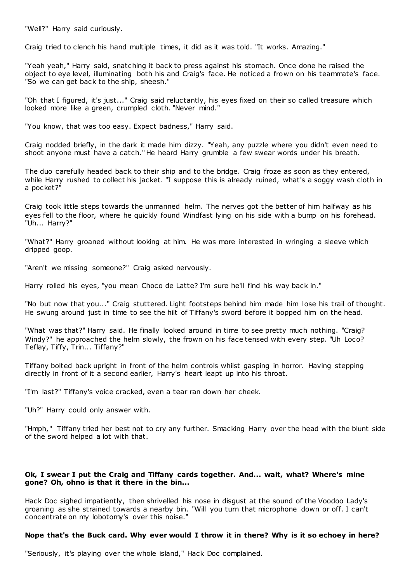"Well?" Harry said curiously.

Craig tried to clench his hand multiple times, it did as it was told. "It works. Amazing."

"Yeah yeah," Harry said, snatching it back to press against his stomach. Once done he raised the object to eye level, illuminating both his and Craig's face. He noticed a frown on his teammate's face. "So we can get back to the ship, sheesh."

"Oh that I figured, it's just..." Craig said reluctantly, his eyes fixed on their so called treasure which looked more like a green, crumpled cloth. "Never mind."

"You know, that was too easy. Expect badness," Harry said.

Craig nodded briefly, in the dark it made him dizzy. "Yeah, any puzzle where you didn't even need to shoot anyone must have a catch." He heard Harry grumble a few swear words under his breath.

The duo carefully headed back to their ship and to the bridge. Craig froze as soon as they entered, while Harry rushed to collect his jacket. "I suppose this is already ruined, what's a soggy wash cloth in a pocket?"

Craig took little steps towards the unmanned helm. The nerves got the better of him halfway as his eyes fell to the floor, where he quickly found Windfast lying on his side with a bump on his forehead. "Uh... Harry?"

"What?" Harry groaned without looking at him. He was more interested in wringing a sleeve which dripped goop.

"Aren't we missing someone?" Craig asked nervously.

Harry rolled his eyes, "you mean Choco de Latte? I'm sure he'll find his way back in."

"No but now that you..." Craig stuttered. Light footsteps behind him made him lose his trail of thought. He swung around just in time to see the hilt of Tiffany's sword before it bopped him on the head.

"What was that?" Harry said. He finally looked around in time to see pretty much nothing. "Craig? Windy?" he approached the helm slowly, the frown on his face tensed with every step. "Uh Loco? Teflay, Tiffy, Trin... Tiffany?"

Tiffany bolted back upright in front of the helm controls whilst gasping in horror. Having stepping directly in front of it a second earlier, Harry's heart leapt up into his throat.

"I'm last?" Tiffany's voice cracked, even a tear ran down her cheek.

"Uh?" Harry could only answer with.

"Hmph," Tiffany tried her best not to cry any further. Smacking Harry over the head with the blunt side of the sword helped a lot with that.

## **Ok, I swear I put the Craig and Tiffany cards together. And... wait, what? Where's mine gone? Oh, ohno is that it there in the bin...**

Hack Doc sighed impatiently, then shrivelled his nose in disgust at the sound of the Voodoo Lady's groaning as she strained towards a nearby bin. "Will you turn that microphone down or off. I can't concentrate on my lobotomy's over this noise."

#### **Nope that's the Buck card. Why ever would I throw it in there? Why is it so echoey in here?**

"Seriously, it's playing over the whole island," Hack Doc complained.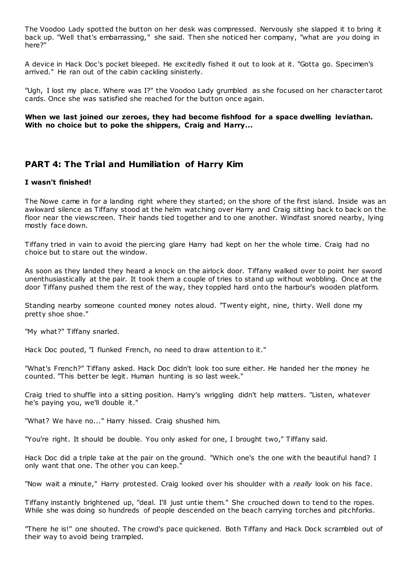The Voodoo Lady spotted the button on her desk was compressed. Nervously she slapped it to bring it back up. "Well that's embarrassing," she said. Then she noticed her company, "what are *you* doing in here?"

A device in Hack Doc's pocket bleeped. He excitedly fished it out to look at it. "Gotta go. Specimen's arrived." He ran out of the cabin cackling sinisterly.

"Ugh, I lost my place. Where was I?" the Voodoo Lady grumbled as she focused on her character tarot cards. Once she was satisfied she reached for the button once again.

## **When we last joined our zeroes, they had become fishfood for a space dwelling leviathan. With no choice but to poke the shippers, Craig and Harry...**

## **PART 4: The Trial and Humiliation of Harry Kim**

## **I wasn't finished!**

The Nowe came in for a landing right where they started; on the shore of the first island. Inside was an awkward silence as Tiffany stood at the helm watching over Harry and Craig sitting back to back on the floor near the viewscreen. Their hands tied together and to one another. Windfast snored nearby, lying mostly face down.

Tiffany tried in vain to avoid the piercing glare Harry had kept on her the whole time. Craig had no choice but to stare out the window.

As soon as they landed they heard a knock on the airlock door. Tiffany walked over to point her sword unenthusiastically at the pair. It took them a couple of tries to stand up without wobbling. Once at the door Tiffany pushed them the rest of the way, they toppled hard onto the harbour's wooden platform.

Standing nearby someone counted money notes aloud. "Twenty eight, nine, thirty. Well done my pretty shoe shoe."

"My what?" Tiffany snarled.

Hack Doc pouted, "I flunked French, no need to draw attention to it."

"What's French?" Tiffany asked. Hack Doc didn't look too sure either. He handed her the money he counted. "This better be legit. Human hunting is so last week."

Craig tried to shuffle into a sitting position. Harry's wriggling didn't help matters. "Listen, whatever he's paying you, we'll double it."

"What? We have no..." Harry hissed. Craig shushed him.

"You're right. It should be double. You only asked for one, I brought two," Tiffany said.

Hack Doc did a triple take at the pair on the ground. "Which one's the one with the beautiful hand? I only want that one. The other you can keep."

"Now wait a minute," Harry protested. Craig looked over his shoulder with a *really* look on his face.

Tiffany instantly brightened up, "deal. I'll just untie them." She crouched down to tend to the ropes. While she was doing so hundreds of people descended on the beach carrying torches and pitchforks.

"There he is!" one shouted. The crowd's pace quickened. Both Tiffany and Hack Dock scrambled out of their way to avoid being trampled.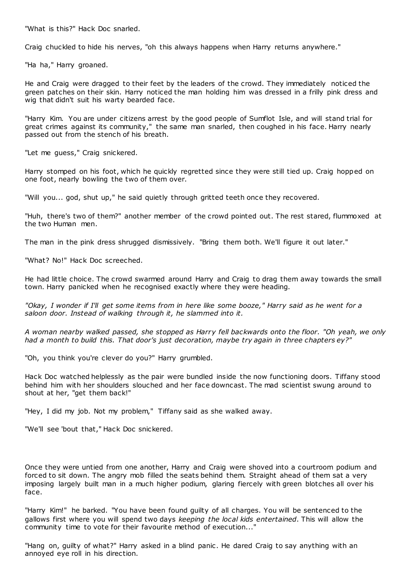"What is this?" Hack Doc snarled.

Craig chuckled to hide his nerves, "oh this always happens when Harry returns anywhere."

"Ha ha," Harry groaned.

He and Craig were dragged to their feet by the leaders of the crowd. They immediately noticed the green patches on their skin. Harry noticed the man holding him was dressed in a frilly pink dress and wig that didn't suit his warty bearded face.

"Harry Kim. You are under citizens arrest by the good people of Sumflot Isle, and will stand trial for great crimes against its community," the same man snarled, then coughed in his face. Harry nearly passed out from the stench of his breath.

"Let me guess," Craig snickered.

Harry stomped on his foot, which he quickly regretted since they were still tied up. Craig hopped on one foot, nearly bowling the two of them over.

"Will you... god, shut up," he said quietly through gritted teeth once they recovered.

"Huh, there's two of them?" another member of the crowd pointed out. The rest stared, flummoxed at the two Human men.

The man in the pink dress shrugged dismissively. "Bring them both. We'll figure it out later."

"What? No!" Hack Doc screeched.

He had little choice. The crowd swarmed around Harry and Craig to drag them away towards the small town. Harry panicked when he recognised exactly where they were heading.

*"Okay, I wonder if I'll get some items from in here like some booze," Harry said as he went for a saloon door. Instead of walking through it, he slammed into it.*

*A woman nearby walked passed, she stopped as Harry fell backwards onto the floor. "Oh yeah, we only had a month to build this. That door's just decoration, maybe try again in three chapters ey?"*

"Oh, you think you're clever do you?" Harry grumbled.

Hack Doc watched helplessly as the pair were bundled inside the now functioning doors. Tiffany stood behind him with her shoulders slouched and her face downcast. The mad scientist swung around to shout at her, "get them back!"

"Hey, I did my job. Not my problem," Tiffany said as she walked away.

"We'll see 'bout that," Hack Doc snickered.

Once they were untied from one another, Harry and Craig were shoved into a courtroom podium and forced to sit down. The angry mob filled the seats behind them. Straight ahead of them sat a very imposing largely built man in a much higher podium, glaring fiercely with green blotches all over his face.

"Harry Kim!" he barked. "You have been found guilty of all charges. You will be sentenced to the gallows first where you will spend two days *keeping the local kids entertained*. This will allow the community time to vote for their favourite method of execution..."

"Hang on, guilty of what?" Harry asked in a blind panic . He dared Craig to say anything with an annoyed eye roll in his direction.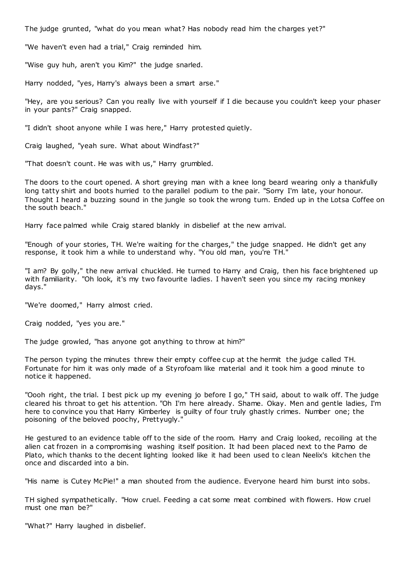The judge grunted, "what do you mean what? Has nobody read him the charges yet?"

"We haven't even had a trial," Craig reminded him.

"Wise guy huh, aren't you Kim?" the judge snarled.

Harry nodded, "yes, Harry's always been a smart arse."

"Hey, are you serious? Can you really live with yourself if I die because you couldn't keep your phaser in your pants?" Craig snapped.

"I didn't shoot anyone while I was here," Harry protested quietly.

Craig laughed, "yeah sure. What about Windfast?"

"That doesn't count. He was with us," Harry grumbled.

The doors to the court opened. A short greying man with a knee long beard wearing only a thankfully long tatty shirt and boots hurried to the parallel podium to the pair. "Sorry I'm late, your honour. Thought I heard a buzzing sound in the jungle so took the wrong turn. Ended up in the Lotsa Coffee on the south beach."

Harry face palmed while Craig stared blankly in disbelief at the new arrival.

"Enough of your stories, TH. We're waiting for the charges," the judge snapped. He didn't get any response, it took him a while to understand why. "You old man, you're TH."

"I am? By golly," the new arrival chuckled. He turned to Harry and Craig, then his face brightened up with familiarity. "Oh look, it's my two favourite ladies. I haven't seen you since my racing monkey days."

"We're doomed," Harry almost cried.

Craig nodded, "yes you are."

The judge growled, "has anyone got anything to throw at him?"

The person typing the minutes threw their empty coffee cup at the hermit the judge called TH. Fortunate for him it was only made of a Styrofoam like material and it took him a good minute to notice it happened.

"Oooh right, the trial. I best pick up my evening jo before I go," TH said, about to walk off. The judge cleared his throat to get his attention. "Oh I'm here already. Shame. Okay. Men and gentle ladies, I'm here to convince you that Harry Kimberley is guilty of four truly ghastly crimes. Number one; the poisoning of the beloved poochy, Prettyugly."

He gestured to an evidence table off to the side of the room. Harry and Craig looked, recoiling at the alien cat frozen in a compromising washing itself position. It had been placed next to the Pamo de Plato, which thanks to the decent lighting looked like it had been used to c lean Neelix's kitchen the once and discarded into a bin.

"His name is Cutey McPie!" a man shouted from the audience. Everyone heard him burst into sobs.

TH sighed sympathetically. "How cruel. Feeding a cat some meat combined with flowers. How cruel must one man be?"

"What?" Harry laughed in disbelief.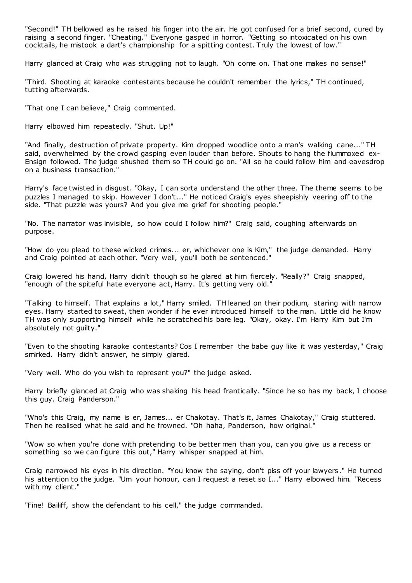"Second!" TH bellowed as he raised his finger into the air. He got confused for a brief second, cured by raising a second finger. "Cheating." Everyone gasped in horror. "Getting so intoxicated on his own cocktails, he mistook a dart's championship for a spitting contest. Truly the lowest of low."

Harry glanced at Craig who was struggling not to laugh. "Oh come on. That one makes no sense!"

"Third. Shooting at karaoke contestants because he couldn't remember the lyrics," TH continued, tutting afterwards.

"That one I can believe," Craig commented.

Harry elbowed him repeatedly. "Shut. Up!"

"And finally, destruction of private property. Kim dropped woodlice onto a man's walking cane..." TH said, overwhelmed by the crowd gasping even louder than before. Shouts to hang the flummoxed ex-Ensign followed. The judge shushed them so TH could go on. "All so he could follow him and eavesdrop on a business transaction."

Harry's face twisted in disgust. "Okay, I can sorta understand the other three. The theme seems to be puzzles I managed to skip. However I don't..." He noticed Craig's eyes sheepishly veering off to the side. "That puzzle was yours? And you give me grief for shooting people."

"No. The narrator was invisible, so how could I follow him?" Craig said, coughing afterwards on purpose.

"How do you plead to these wicked crimes... er, whichever one is Kim," the judge demanded. Harry and Craig pointed at each other. "Very well, you'll both be sentenced."

Craig lowered his hand, Harry didn't though so he glared at him fiercely. "Really?" Craig snapped, "enough of the spiteful hate everyone act, Harry. It's getting very old."

"Talking to himself. That explains a lot," Harry smiled. TH leaned on their podium, staring with narrow eyes. Harry started to sweat, then wonder if he ever introduced himself to the man. Little did he know TH was only supporting himself while he scratched his bare leg. "Okay, okay. I'm Harry Kim but I'm absolutely not guilty."

"Even to the shooting karaoke contestants? Cos I remember the babe guy like it was yesterday," Craig smirked. Harry didn't answer, he simply glared.

"Very well. Who do you wish to represent you?" the judge asked.

Harry briefly glanced at Craig who was shaking his head frantically. "Since he so has my back, I choose this guy. Craig Panderson."

"Who's this Craig, my name is er, James... er Chakotay. That's it, James Chakotay," Craig stuttered. Then he realised what he said and he frowned. "Oh haha, Panderson, how original."

"Wow so when you're done with pretending to be better men than you, can you give us a recess or something so we can figure this out," Harry whisper snapped at him.

Craig narrowed his eyes in his direction. "You know the saying, don't piss off your lawyers ." He turned his attention to the judge. "Um your honour, can I request a reset so I..." Harry elbowed him. "Recess with my client."

"Fine! Bailiff, show the defendant to his cell," the judge commanded.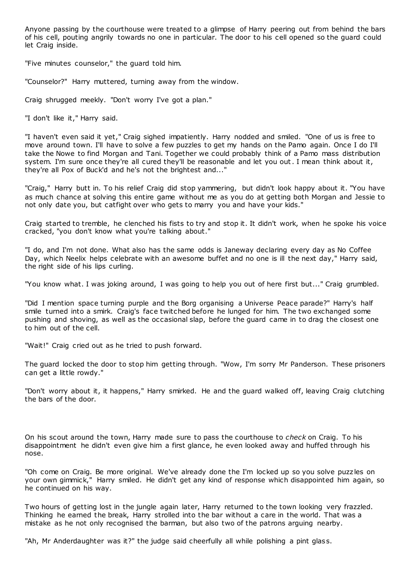Anyone passing by the courthouse were treated to a glimpse of Harry peering out from behind the bars of his cell, pouting angrily towards no one in particular. The door to his cell opened so the guard could let Craig inside.

"Five minutes counselor," the guard told him.

"Counselor?" Harry muttered, turning away from the window.

Craig shrugged meekly. "Don't worry I've got a plan."

"I don't like it," Harry said.

"I haven't even said it yet," Craig sighed impatiently. Harry nodded and smiled. "One of us is free to move around town. I'll have to solve a few puzzles to get my hands on the Pamo again. Once I do I'll take the Nowe to find Morgan and Tani. Together we could probably think of a Pamo mass distribution system. I'm sure once they're all cured they'll be reasonable and let you out. I mean think about it, they're all Pox of Buck'd and he's not the brightest and..."

"Craig," Harry butt in. To his relief Craig did stop yammering, but didn't look happy about it. "You have as much chance at solving this entire game without me as you do at getting both Morgan and Jessie to not only date you, but catfight over who gets to marry you and have your kids."

Craig started to tremble, he clenched his fists to try and stop it. It didn't work, when he spoke his voice cracked, "you don't know what you're talking about."

"I do, and I'm not done. What also has the same odds is Janeway declaring every day as No Coffee Day, which Neelix helps celebrate with an awesome buffet and no one is ill the next day," Harry said, the right side of his lips curling.

"You know what. I was joking around, I was going to help you out of here first but..." Craig grumbled.

"Did I mention space turning purple and the Borg organising a Universe Peace parade?" Harry's half smile turned into a smirk. Craig's face twitched before he lunged for him. The two exchanged some pushing and shoving, as well as the occasional slap, before the guard came in to drag the closest one to him out of the cell.

"Wait!" Craig cried out as he tried to push forward.

The guard locked the door to stop him getting through. "Wow, I'm sorry Mr Panderson. These prisoners can get a little rowdy."

"Don't worry about it, it happens," Harry smirked. He and the guard walked off, leaving Craig clutching the bars of the door.

On his scout around the town, Harry made sure to pass the courthouse to *check* on Craig. To his disappointment he didn't even give him a first glance, he even looked away and huffed through his nose.

"Oh come on Craig. Be more original. We've already done the I'm locked up so you solve puzz les on your own gimmick," Harry smiled. He didn't get any kind of response which disappointed him again, so he continued on his way.

Two hours of getting lost in the jungle again later, Harry returned to the town looking very frazzled. Thinking he earned the break, Harry strolled into the bar without a care in the world. That was a mistake as he not only recognised the barman, but also two of the patrons arguing nearby.

"Ah, Mr Anderdaughter was it?" the judge said cheerfully all while polishing a pint glass.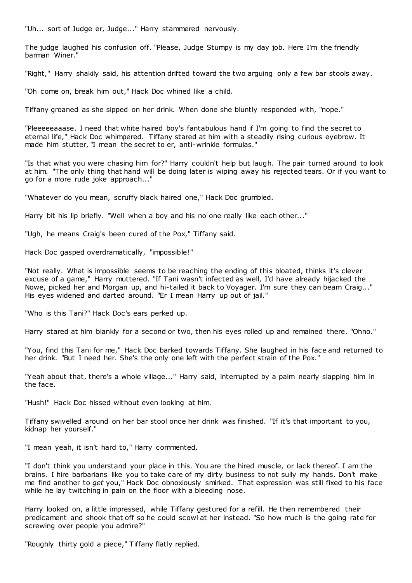"Uh... sort of Judge er, Judge..." Harry stammered nervously.

The judge laughed his confusion off. "Please, Judge Stumpy is my day job. Here I'm the friendly barman Winer."

"Right," Harry shakily said, his attention drifted toward the two arguing only a few bar stools away.

"Oh come on, break him out," Hack Doc whined like a child.

Tiffany groaned as she sipped on her drink. When done she bluntly responded with, "nope."

"Pleeeeeaaase. I need that white haired boy's fantabulous hand if I'm going to find the secret to eternal life," Hack Doc whimpered. Tiffany stared at him with a steadily rising curious eyebrow. It made him stutter, "I mean the secret to er, anti-wrinkle formulas."

"Is that what you were chasing him for?" Harry couldn't help but laugh. The pair turned around to look at him. "The only thing that hand will be doing later is wiping away his rejected tears. Or if you want to go for a more rude joke approach..."

"Whatever do you mean, scruffy black haired one," Hack Doc grumbled.

Harry bit his lip briefly. "Well when a boy and his no one really like each other..."

"Ugh, he means Craig's been cured of the Pox," Tiffany said.

Hack Doc gasped overdramatically, "impossible!"

"Not really. What is impossible seems to be reaching the ending of this bloated, thinks it's clever excuse of a game," Harry muttered. "If Tani wasn't infected as well, I'd have already hijacked the Nowe, picked her and Morgan up, and hi-tailed it back to Voyager. I'm sure they can beam Craig..." His eyes widened and darted around. "Er I mean Harry up out of jail."

"Who is this Tani?" Hack Doc's ears perked up.

Harry stared at him blankly for a second or two, then his eyes rolled up and remained there. "Ohno."

"You, find this Tani for me," Hack Doc barked towards Tiffany. She laughed in his face and returned to her drink. "But I need her. She's the only one left with the perfect strain of the Pox."

"Yeah about that, there's a whole village..." Harry said, interrupted by a palm nearly slapping him in the face.

"Hush!" Hack Doc hissed without even looking at him.

Tiffany swivelled around on her bar stool once her drink was finished. "If it's that important to you, kidnap her yourself."

"I mean yeah, it isn't hard to," Harry commented.

"I don't think you understand your place in this. You are the hired muscle, or lack thereof. I am the brains. I hire barbarians like you to take care of my dirty business to not sully my hands. Don't make me find another to *get* you," Hack Doc obnoxiously smirked. That expression was still fixed to his face while he lay twitching in pain on the floor with a bleeding nose.

Harry looked on, a little impressed, while Tiffany gestured for a refill. He then remembered their predicament and shook that off so he could scowl at her instead. "So how much is the going rate for screwing over people you admire?"

"Roughly thirty gold a piece," Tiffany flatly replied.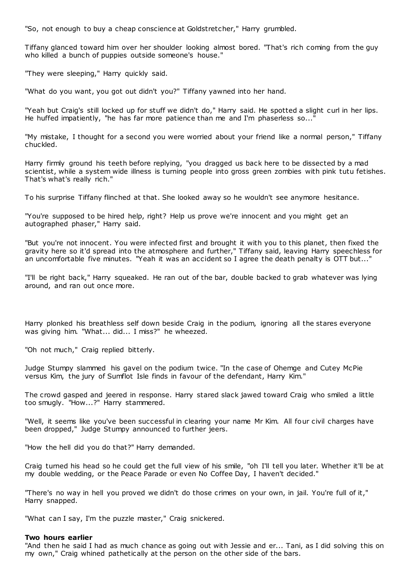"So, not enough to buy a cheap conscience at Goldstretcher," Harry grumbled.

Tiffany glanced toward him over her shoulder looking almost bored. "That's rich coming from the guy who killed a bunch of puppies outside someone's house."

"They were sleeping," Harry quickly said.

"What do you want, you got out didn't you?" Tiffany yawned into her hand.

"Yeah but Craig's still locked up for stuff we didn't do," Harry said. He spotted a slight curl in her lips. He huffed impatiently, "he has far more patience than me and I'm phaserless so..."

"My mistake, I thought for a second you were worried about your friend like a normal person," Tiffany chuckled.

Harry firmly ground his teeth before replying, "you dragged us back here to be dissected by a mad scientist, while a system wide illness is turning people into gross green zombies with pink tutu fetishes. That's what's really rich."

To his surprise Tiffany flinched at that. She looked away so he wouldn't see anymore hesitance.

"You're supposed to be hired help, right? Help us prove we're innocent and you might get an autographed phaser," Harry said.

"But you're not innocent. You were infected first and brought it with you to this planet, then fixed the gravity here so it'd spread into the atmosphere and further," Tiffany said, leaving Harry speechless for an uncomfortable five minutes. "Yeah it was an accident so I agree the death penalty is OTT but..."

"I'll be right back," Harry squeaked. He ran out of the bar, double backed to grab whatever was lying around, and ran out once more.

Harry plonked his breathless self down beside Craig in the podium, ignoring all the stares everyone was giving him. "What... did... I miss?" he wheezed.

"Oh not much," Craig replied bitterly.

Judge Stumpy slammed his gavel on the podium twice. "In the case of Ohemge and Cutey McPie versus Kim, the jury of Sumflot Isle finds in favour of the defendant, Harry Kim."

The crowd gasped and jeered in response. Harry stared slack jawed toward Craig who smiled a little too smugly. "How...?" Harry stammered.

"Well, it seems like you've been successful in clearing your name Mr Kim. All four civil charges have been dropped," Judge Stumpy announced to further jeers.

"How the hell did you do that?" Harry demanded.

Craig turned his head so he could get the full view of his smile, "oh I'll tell you later. Whether it'll be at my double wedding, or the Peace Parade or even No Coffee Day, I haven't decided."

"There's no way in hell you proved we didn't do those crimes on your own, in jail. You're full of it," Harry snapped.

"What can I say, I'm the puzzle master," Craig snickered.

#### **Two hours earlier**

"And then he said I had as much chance as going out with Jessie and er... Tani, as I did solving this on my own," Craig whined pathetically at the person on the other side of the bars.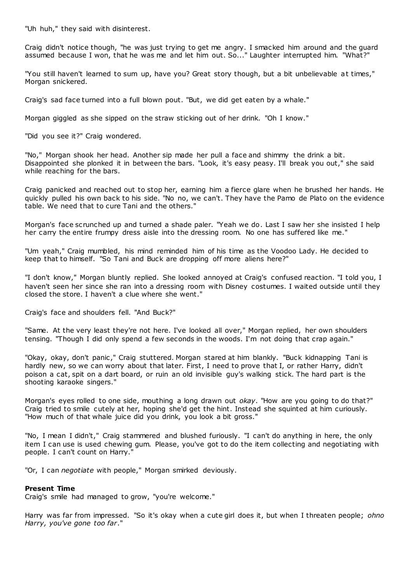"Uh huh," they said with disinterest.

Craig didn't notice though, "he was just trying to get me angry. I smacked him around and the guard assumed because I won, that he was me and let him out. So..." Laughter interrupted him. "What?"

"You still haven't learned to sum up, have you? Great story though, but a bit unbelievable at times," Morgan snickered.

Craig's sad face turned into a full blown pout. "But, we did get eaten by a whale."

Morgan giggled as she sipped on the straw sticking out of her drink. "Oh I know."

"Did you see it?" Craig wondered.

"No," Morgan shook her head. Another sip made her pull a face and shimmy the drink a bit. Disappointed she plonked it in between the bars. "Look, it's easy peasy. I'll break you out," she said while reaching for the bars.

Craig panicked and reached out to stop her, earning him a fierce glare when he brushed her hands. He quickly pulled his own back to his side. "No no, we can't. They have the Pamo de Plato on the evidence table. We need that to cure Tani and the others."

Morgan's face scrunched up and turned a shade paler. "Yeah we do. Last I saw her she insisted I help her carry the entire frumpy dress aisle into the dressing room. No one has suffered like me."

"Um yeah," Craig mumbled, his mind reminded him of his time as the Voodoo Lady. He decided to keep that to himself. "So Tani and Buck are dropping off more aliens here?"

"I don't know," Morgan bluntly replied. She looked annoyed at Craig's confused reaction. "I told you, I haven't seen her since she ran into a dressing room with Disney costumes. I waited outside until they closed the store. I haven't a clue where she went."

Craig's face and shoulders fell. "And Buck?"

"Same. At the very least they're not here. I've looked all over," Morgan replied, her own shoulders tensing. "Though I did only spend a few seconds in the woods. I'm not doing that crap again."

"Okay, okay, don't panic ," Craig stuttered. Morgan stared at him blankly. "Buck kidnapping Tani is hardly new, so we can worry about that later. First, I need to prove that I, or rather Harry, didn't poison a cat, spit on a dart board, or ruin an old invisible guy's walking stick. The hard part is the shooting karaoke singers."

Morgan's eyes rolled to one side, mouthing a long drawn out *okay*. "How are you going to do that?" Craig tried to smile cutely at her, hoping she'd get the hint. Instead she squinted at him curiously. "How much of that whale juice did you drink, you look a bit gross."

"No, I mean I didn't," Craig stammered and blushed furiously. "I can't do anything in here, the only item I can use is used chewing gum. Please, you've got to do the item collecting and negotiating with people. I can't count on Harry."

"Or, I can *negotiate* with people," Morgan smirked deviously.

## **Present Time**

Craig's smile had managed to grow, "you're welcome."

Harry was far from impressed. "So it's okay when a cute girl does it, but when I threaten people; *ohno Harry, you've gone too far*."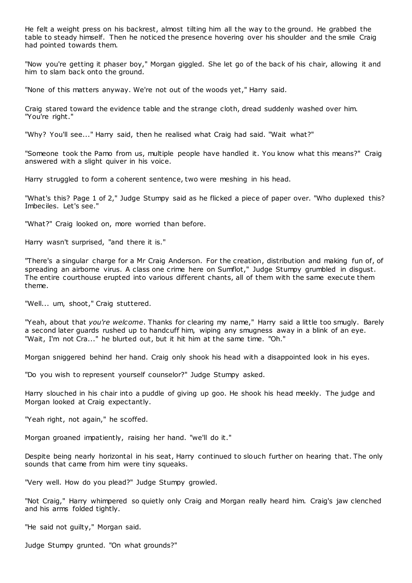He felt a weight press on his backrest, almost tilting him all the way to the ground. He grabbed the table to steady himself. Then he noticed the presence hovering over his shoulder and the smile Craig had pointed towards them.

"Now you're getting it phaser boy," Morgan giggled. She let go of the back of his chair, allowing it and him to slam back onto the ground.

"None of this matters anyway. We're not out of the woods yet," Harry said.

Craig stared toward the evidence table and the strange cloth, dread suddenly washed over him. "You're right."

"Why? You'll see..." Harry said, then he realised what Craig had said. "Wait what?"

"Someone took the Pamo from us, multiple people have handled it. You know what this means?" Craig answered with a slight quiver in his voice.

Harry struggled to form a coherent sentence, two were meshing in his head.

"What's this? Page 1 of 2," Judge Stumpy said as he flicked a piece of paper over. "Who duplexed this? Imbeciles. Let's see."

"What?" Craig looked on, more worried than before.

Harry wasn't surprised, "and there it is."

"There's a singular charge for a Mr Craig Anderson. For the creation, distribution and making fun of, of spreading an airborne virus. A class one crime here on Sumflot," Judge Stumpy grumbled in disgust. The entire courthouse erupted into various different chants, all of them with the same execute them theme.

"Well... um, shoot," Craig stuttered.

"Yeah, about that *you're welcome*. Thanks for clearing my name," Harry said a little too smugly. Barely a second later guards rushed up to handcuff him, wiping any smugness away in a blink of an eye. "Wait, I'm not Cra..." he blurted out, but it hit him at the same time. "Oh."

Morgan sniggered behind her hand. Craig only shook his head with a disappointed look in his eyes.

"Do you wish to represent yourself counselor?" Judge Stumpy asked.

Harry slouched in his chair into a puddle of giving up goo. He shook his head meekly. The judge and Morgan looked at Craig expectantly.

"Yeah right, not again," he scoffed.

Morgan groaned impatiently, raising her hand. "we'll do it."

Despite being nearly horizontal in his seat, Harry continued to slouch further on hearing that. The only sounds that came from him were tiny squeaks.

"Very well. How do you plead?" Judge Stumpy growled.

"Not Craig," Harry whimpered so quietly only Craig and Morgan really heard him. Craig's jaw clenched and his arms folded tightly.

"He said not guilty," Morgan said.

Judge Stumpy grunted. "On what grounds?"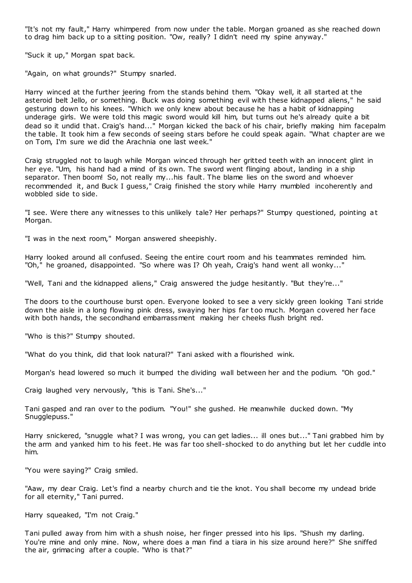"It's not my fault," Harry whimpered from now under the table. Morgan groaned as she reached down to drag him back up to a sitting position. "Ow, really? I didn't need my spine anyway."

"Suck it up," Morgan spat back.

"Again, on what grounds?" Stumpy snarled.

Harry winced at the further jeering from the stands behind them. "Okay well, it all started at the asteroid belt Jello, or something. Buck was doing something evil with these kidnapped aliens," he said gesturing down to his knees. "Which we only knew about because he has a habit of kidnapping underage girls. We were told this magic sword would kill him, but turns out he's already quite a bit dead so it undid that. Craig's hand..." Morgan kicked the back of his chair, briefly making him facepalm the table. It took him a few seconds of seeing stars before he could speak again. "What chapter are we on Tom, I'm sure we did the Arachnia one last week."

Craig struggled not to laugh while Morgan winced through her gritted teeth with an innocent glint in her eye. "Um, his hand had a mind of its own. The sword went flinging about, landing in a ship separator. Then boom! So, not really my...his fault. The blame lies on the sword and whoever recommended it, and Buck I guess," Craig finished the story while Harry mumbled incoherently and wobbled side to side.

"I see. Were there any witnesses to this unlikely tale? Her perhaps?" Stumpy questioned, pointing at Morgan.

"I was in the next room," Morgan answered sheepishly.

Harry looked around all confused. Seeing the entire court room and his teammates reminded him. "Oh," he groaned, disappointed. "So where was I? Oh yeah, Craig's hand went all wonky..."

"Well, Tani and the kidnapped aliens," Craig answered the judge hesitantly. "But they're..."

The doors to the courthouse burst open. Everyone looked to see a very sickly green looking Tani stride down the aisle in a long flowing pink dress, swaying her hips far too much. Morgan covered her face with both hands, the secondhand embarrassment making her cheeks flush bright red.

"Who is this?" Stumpy shouted.

"What do you think, did that look natural?" Tani asked with a flourished wink.

Morgan's head lowered so much it bumped the dividing wall between her and the podium. "Oh god."

Craig laughed very nervously, "this is Tani. She's..."

Tani gasped and ran over to the podium. "You!" she gushed. He meanwhile ducked down. "My Snugglepuss."

Harry snickered, "snuggle what? I was wrong, you can get ladies... ill ones but..." Tani grabbed him by the arm and yanked him to his feet. He was far too shell-shocked to do anything but let her cuddle into him.

"You were saying?" Craig smiled.

"Aaw, my dear Craig. Let's find a nearby church and tie the knot. You shall become my undead bride for all eternity," Tani purred.

Harry squeaked, "I'm not Craig."

Tani pulled away from him with a shush noise, her finger pressed into his lips. "Shush my darling. You're mine and only mine. Now, where does a man find a tiara in his size around here?" She sniffed the air, grimacing after a couple. "Who is that?"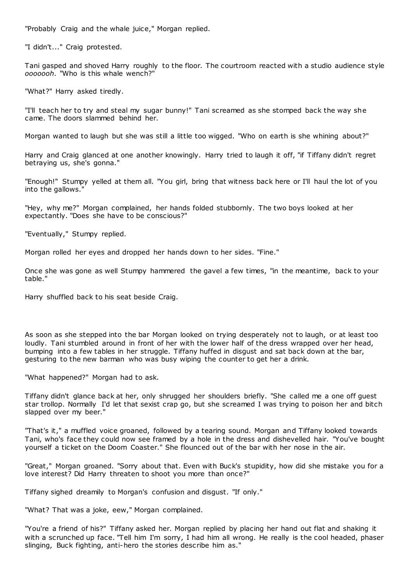"Probably Craig and the whale juice," Morgan replied.

"I didn't..." Craig protested.

Tani gasped and shoved Harry roughly to the floor. The courtroom reacted with a studio audience style *ooooooh*. "Who is this whale wench?"

"What?" Harry asked tiredly.

"I'll teach her to try and steal my sugar bunny!" Tani screamed as she stomped back the way she came. The doors slammed behind her.

Morgan wanted to laugh but she was still a little too wigged. "Who on earth is she whining about?"

Harry and Craig glanced at one another knowingly. Harry tried to laugh it off, "if Tiffany didn't regret betraying us, she's gonna."

"Enough!" Stumpy yelled at them all. "You girl, bring that witness back here or I'll haul the lot of you into the gallows."

"Hey, why me?" Morgan complained, her hands folded stubbornly. The two boys looked at her expectantly. "Does she have to be conscious?"

"Eventually," Stumpy replied.

Morgan rolled her eyes and dropped her hands down to her sides. "Fine."

Once she was gone as well Stumpy hammered the gavel a few times, "in the meantime, back to your table."

Harry shuffled back to his seat beside Craig.

As soon as she stepped into the bar Morgan looked on trying desperately not to laugh, or at least too loudly. Tani stumbled around in front of her with the lower half of the dress wrapped over her head, bumping into a few tables in her struggle. Tiffany huffed in disgust and sat back down at the bar, gesturing to the new barman who was busy wiping the counter to get her a drink.

"What happened?" Morgan had to ask.

Tiffany didn't glance back at her, only shrugged her shoulders briefly. "She called me a one off guest star trollop. Normally I'd let that sexist crap go, but she screamed I was trying to poison her and bitch slapped over my beer."

"That's it," a muffled voice groaned, followed by a tearing sound. Morgan and Tiffany looked towards Tani, who's face they could now see framed by a hole in the dress and dishevelled hair. "You've bought yourself a ticket on the Doom Coaster." She flounced out of the bar with her nose in the air.

"Great," Morgan groaned. "Sorry about that. Even with Buck's stupidity, how did she mistake you for a love interest? Did Harry threaten to shoot you more than once?"

Tiffany sighed dreamily to Morgan's confusion and disgust. "If only."

"What? That was a joke, eew," Morgan complained.

"You're a friend of his?" Tiffany asked her. Morgan replied by placing her hand out flat and shaking it with a scrunched up face. "Tell him I'm sorry, I had him all wrong. He really is the cool headed, phaser slinging, Buck fighting, anti-hero the stories describe him as."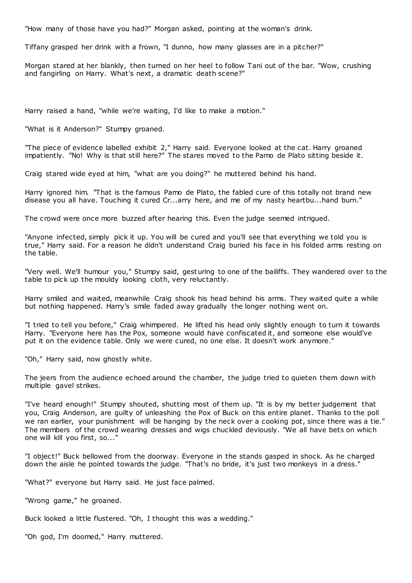"How many of those have you had?" Morgan asked, pointing at the woman's drink.

Tiffany grasped her drink with a frown, "I dunno, how many glasses are in a pitcher?"

Morgan stared at her blankly, then turned on her heel to follow Tani out of the bar. "Wow, crushing and fangirling on Harry. What's next, a dramatic death scene?"

Harry raised a hand, "while we're waiting, I'd like to make a motion."

"What is it Anderson?" Stumpy groaned.

"The piece of evidence labelled exhibit 2," Harry said. Everyone looked at the cat. Harry groaned impatiently. "No! Why is that still here?" The stares moved to the Pamo de Plato sitting beside it.

Craig stared wide eyed at him, "what are you doing?" he muttered behind his hand.

Harry ignored him. "That is the famous Pamo de Plato, the fabled cure of this totally not brand new disease you all have. Touching it cured Cr...arry here, and me of my nasty heartbu...hand burn."

The crowd were once more buzzed after hearing this. Even the judge seemed intrigued.

"Anyone infected, simply pick it up. You will be cured and you'll see that everything we told you is true," Harry said. For a reason he didn't understand Craig buried his face in his folded arms resting on the table.

"Very well. We'll humour you," Stumpy said, gesturing to one of the bailiffs. They wandered over to the table to pick up the mouldy looking cloth, very reluctantly.

Harry smiled and waited, meanwhile Craig shook his head behind his arms. They waited quite a while but nothing happened. Harry's smile faded away gradually the longer nothing went on.

"I tried to tell you before," Craig whimpered. He lifted his head only slightly enough to turn it towards Harry. "Everyone here has the Pox, someone would have confiscated it, and someone else would've put it on the evidence table. Only we were cured, no one else. It doesn't work anymore."

"Oh," Harry said, now ghostly white.

The jeers from the audience echoed around the chamber, the judge tried to quieten them down with multiple gavel strikes.

"I've heard enough!" Stumpy shouted, shutting most of them up. "It is by my better judgement that you, Craig Anderson, are guilty of unleashing the Pox of Buck on this entire planet. Thanks to the poll we ran earlier, your punishment will be hanging by the neck over a cooking pot, since there was a tie." The members of the crowd wearing dresses and wigs chuckled deviously. "We all have bets on which one will kill you first, so..."

"I object!" Buck bellowed from the doorway. Everyone in the stands gasped in shock. As he charged down the aisle he pointed towards the judge. "That's no bride, it's just two monkeys in a dress."

"What?" everyone but Harry said. He just face palmed.

"Wrong game," he groaned.

Buck looked a little flustered. "Oh, I thought this was a wedding."

"Oh god, I'm doomed," Harry muttered.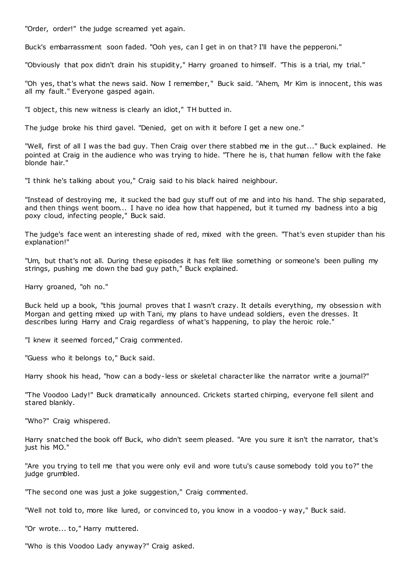"Order, order!" the judge screamed yet again.

Buck's embarrassment soon faded. "Ooh yes, can I get in on that? I'll have the pepperoni."

"Obviously that pox didn't drain his stupidity," Harry groaned to himself. "This is a trial, my trial."

"Oh yes, that's what the news said. Now I remember," Buck said. "Ahem, Mr Kim is innocent, this was all my fault." Everyone gasped again.

"I object, this new witness is clearly an idiot," TH butted in.

The judge broke his third gavel. "Denied, get on with it before I get a new one."

"Well, first of all I was the bad guy. Then Craig over there stabbed me in the gut..." Buck explained. He pointed at Craig in the audience who was trying to hide. "There he is, that human fellow with the fake blonde hair."

"I think he's talking about you," Craig said to his black haired neighbour.

"Instead of destroying me, it sucked the bad guy stuff out of me and into his hand. The ship separated, and then things went boom... I have no idea how that happened, but it turned my badness into a big poxy cloud, infecting people," Buck said.

The judge's face went an interesting shade of red, mixed with the green. "That's even stupider than his explanation!"

"Um, but that's not all. During these episodes it has felt like something or someone's been pulling my strings, pushing me down the bad guy path," Buck explained.

Harry groaned, "oh no."

Buck held up a book, "this journal proves that I wasn't crazy. It details everything, my obsession with Morgan and getting mixed up with Tani, my plans to have undead soldiers, even the dresses. It describes luring Harry and Craig regardless of what's happening, to play the heroic role."

"I knew it seemed forced," Craig commented.

"Guess who it belongs to," Buck said.

Harry shook his head, "how can a body-less or skeletal character like the narrator write a journal?"

"The Voodoo Lady!" Buck dramatically announced. Crickets started chirping, everyone fell silent and stared blankly.

"Who?" Craig whispered.

Harry snatched the book off Buck, who didn't seem pleased. "Are you sure it isn't the narrator, that's just his MO."

"Are you trying to tell me that you were only evil and wore tutu's cause somebody told you to?" the judge grumbled.

"The second one was just a joke suggestion," Craig commented.

"Well not told to, more like lured, or convinced to, you know in a voodoo-y way," Buck said.

"Or wrote... to," Harry muttered.

"Who is this Voodoo Lady anyway?" Craig asked.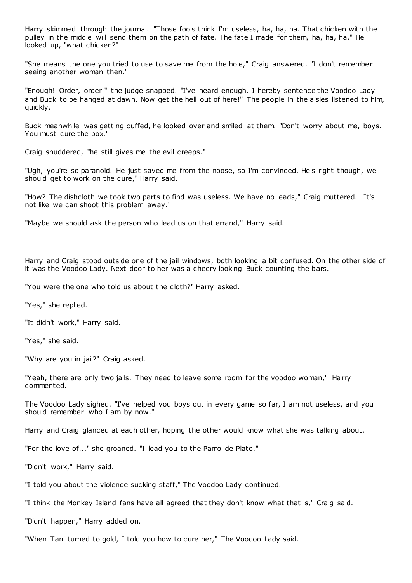Harry skimmed through the journal. "Those fools think I'm useless, ha, ha, ha. That chicken with the pulley in the middle will send them on the path of fate. The fate I made for them, ha, ha, ha." He looked up, "what chicken?"

"She means the one you tried to use to save me from the hole," Craig answered. "I don't remember seeing another woman then."

"Enough! Order, order!" the judge snapped. "I've heard enough. I hereby sentence the Voodoo Lady and Buck to be hanged at dawn. Now get the hell out of here!" The people in the aisles listened to him, quickly.

Buck meanwhile was getting cuffed, he looked over and smiled at them. "Don't worry about me, boys. You must cure the pox."

Craig shuddered, "he still gives me the evil creeps."

"Ugh, you're so paranoid. He just saved me from the noose, so I'm convinced. He's right though, we should get to work on the cure," Harry said.

"How? The dishcloth we took two parts to find was useless. We have no leads," Craig muttered. "It's not like we can shoot this problem away."

"Maybe we should ask the person who lead us on that errand," Harry said.

Harry and Craig stood outside one of the jail windows, both looking a bit confused. On the other side of it was the Voodoo Lady. Next door to her was a cheery looking Buck counting the bars.

"You were the one who told us about the cloth?" Harry asked.

"Yes," she replied.

"It didn't work," Harry said.

"Yes," she said.

"Why are you in jail?" Craig asked.

"Yeah, there are only two jails. They need to leave some room for the voodoo woman," Harry commented.

The Voodoo Lady sighed. "I've helped you boys out in every game so far, I am not useless, and you should remember who I am by now."

Harry and Craig glanced at each other, hoping the other would know what she was talking about.

"For the love of..." she groaned. "I lead you to the Pamo de Plato."

"Didn't work," Harry said.

"I told you about the violence sucking staff," The Voodoo Lady continued.

"I think the Monkey Island fans have all agreed that they don't know what that is," Craig said.

"Didn't happen," Harry added on.

"When Tani turned to gold, I told you how to cure her," The Voodoo Lady said.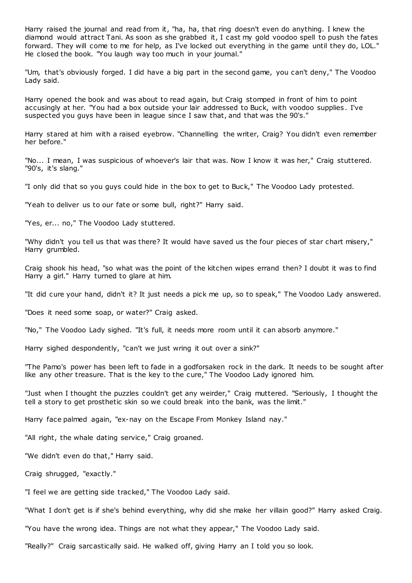Harry raised the journal and read from it, "ha, ha, that ring doesn't even do anything. I knew the diamond would attract Tani. As soon as she grabbed it, I cast my gold voodoo spell to push the fates forward. They will come to me for help, as I've locked out everything in the game until they do, LOL." He closed the book. "You laugh way too much in your journal."

"Um, that's obviously forged. I did have a big part in the second game, you can't deny," The Voodoo Lady said.

Harry opened the book and was about to read again, but Craig stomped in front of him to point accusingly at her. "You had a box outside your lair addressed to Buck, with voodoo supplies . I've suspected you guys have been in league since I saw that, and that was the 90's."

Harry stared at him with a raised eyebrow. "Channelling the writer, Craig? You didn't even remember her before."

"No... I mean, I was suspicious of whoever's lair that was. Now I know it was her," Craig stuttered. "90's, it's slang."

"I only did that so you guys could hide in the box to get to Buck," The Voodoo Lady protested.

"Yeah to deliver us to our fate or some bull, right?" Harry said.

"Yes, er... no," The Voodoo Lady stuttered.

"Why didn't you tell us that was there? It would have saved us the four pieces of star chart misery," Harry grumbled.

Craig shook his head, "so what was the point of the kitchen wipes errand then? I doubt it was to find Harry a girl." Harry turned to glare at him.

"It did cure your hand, didn't it? It just needs a pick me up, so to speak," The Voodoo Lady answered.

"Does it need some soap, or water?" Craig asked.

"No," The Voodoo Lady sighed. "It's full, it needs more room until it can absorb anymore."

Harry sighed despondently, "can't we just wring it out over a sink?"

"The Pamo's power has been left to fade in a godforsaken rock in the dark. It needs to be sought after like any other treasure. That is the key to the cure," The Voodoo Lady ignored him.

"Just when I thought the puzzles couldn't get any weirder," Craig muttered. "Seriously, I thought the tell a story to get prosthetic skin so we could break into the bank, was the limit."

Harry face palmed again, "ex-nay on the Escape From Monkey Island nay."

"All right, the whale dating service," Craig groaned.

"We didn't even do that," Harry said.

Craig shrugged, "exactly."

"I feel we are getting side tracked," The Voodoo Lady said.

"What I don't get is if she's behind everything, why did she make her villain good?" Harry asked Craig.

"You have the wrong idea. Things are not what they appear," The Voodoo Lady said.

"Really?" Craig sarcastically said. He walked off, giving Harry an I told you so look.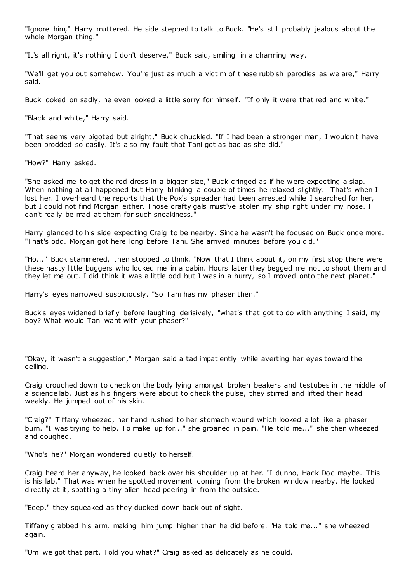"Ignore him," Harry muttered. He side stepped to talk to Buck. "He's still probably jealous about the whole Morgan thing."

"It's all right, it's nothing I don't deserve," Buck said, smiling in a charming way.

"We'll get you out somehow. You're just as much a victim of these rubbish parodies as we are," Harry said.

Buck looked on sadly, he even looked a little sorry for himself. "If only it were that red and white."

"Black and white," Harry said.

"That seems very bigoted but alright," Buck chuckled. "If I had been a stronger man, I wouldn't have been prodded so easily. It's also my fault that Tani got as bad as she did."

"How?" Harry asked.

"She asked me to get the red dress in a bigger size," Buck cringed as if he were expecting a slap. When nothing at all happened but Harry blinking a couple of times he relaxed slightly. "That's when I lost her. I overheard the reports that the Pox's spreader had been arrested while I searched for her, but I could not find Morgan either. Those crafty gals must've stolen my ship right under my nose. I can't really be mad at them for such sneakiness."

Harry glanced to his side expecting Craig to be nearby. Since he wasn't he focused on Buck once more. "That's odd. Morgan got here long before Tani. She arrived minutes before you did."

"Ho..." Buck stammered, then stopped to think. "Now that I think about it, on my first stop there were these nasty little buggers who locked me in a cabin. Hours later they begged me not to shoot them and they let me out. I did think it was a little odd but I was in a hurry, so I moved onto the next planet."

Harry's eyes narrowed suspiciously. "So Tani has my phaser then."

Buck's eyes widened briefly before laughing derisively, "what's that got to do with anything I said, my boy? What would Tani want with your phaser?"

"Okay, it wasn't a suggestion," Morgan said a tad impatiently while averting her eyes toward the ceiling.

Craig crouched down to check on the body lying amongst broken beakers and testubes in the middle of a science lab. Just as his fingers were about to check the pulse, they stirred and lifted their head weakly. He jumped out of his skin.

"Craig?" Tiffany wheezed, her hand rushed to her stomach wound which looked a lot like a phaser burn. "I was trying to help. To make up for..." she groaned in pain. "He told me..." she then wheezed and coughed.

"Who's he?" Morgan wondered quietly to herself.

Craig heard her anyway, he looked back over his shoulder up at her. "I dunno, Hack Doc maybe. This is his lab." That was when he spotted movement coming from the broken window nearby. He looked directly at it, spotting a tiny alien head peering in from the outside.

"Eeep," they squeaked as they ducked down back out of sight.

Tiffany grabbed his arm, making him jump higher than he did before. "He told me..." she wheezed again.

"Um we got that part. Told you what?" Craig asked as delicately as he could.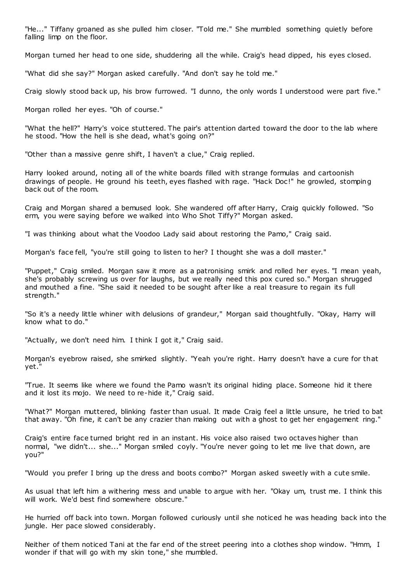"He..." Tiffany groaned as she pulled him closer. "Told me." She mumbled something quietly before falling limp on the floor.

Morgan turned her head to one side, shuddering all the while. Craig's head dipped, his eyes closed.

"What did she say?" Morgan asked carefully. "And don't say he told me."

Craig slowly stood back up, his brow furrowed. "I dunno, the only words I understood were part five."

Morgan rolled her eyes. "Oh of course."

"What the hell?" Harry's voice stuttered. The pair's attention darted toward the door to the lab where he stood. "How the hell is she dead, what's going on?"

"Other than a massive genre shift, I haven't a clue," Craig replied.

Harry looked around, noting all of the white boards filled with strange formulas and cartoonish drawings of people. He ground his teeth, eyes flashed with rage. "Hack Doc!" he growled, stomping back out of the room.

Craig and Morgan shared a bemused look. She wandered off after Harry, Craig quickly followed. "So erm, you were saying before we walked into Who Shot Tiffy?" Morgan asked.

"I was thinking about what the Voodoo Lady said about restoring the Pamo," Craig said.

Morgan's face fell, "you're still going to listen to her? I thought she was a doll master."

"Puppet," Craig smiled. Morgan saw it more as a patronising smirk and rolled her eyes. "I mean yeah, she's probably screwing us over for laughs, but we really need this pox cured so." Morgan shrugged and mouthed a fine. "She said it needed to be sought after like a real treasure to regain its full strength."

"So it's a needy little whiner with delusions of grandeur," Morgan said thoughtfully. "Okay, Harry will know what to do."

"Actually, we don't need him. I think I got it," Craig said.

Morgan's eyebrow raised, she smirked slightly. "Yeah you're right. Harry doesn't have a cure for that yet."

"True. It seems like where we found the Pamo wasn't its original hiding place. Someone hid it there and it lost its mojo. We need to re-hide it," Craig said.

"What?" Morgan muttered, blinking faster than usual. It made Craig feel a little unsure, he tried to bat that away. "Oh fine, it can't be any crazier than making out with a ghost to get her engagement ring."

Craig's entire face turned bright red in an instant. His voice also raised two octaves higher than normal, "we didn't... she..." Morgan smiled coyly. "You're never going to let me live that down, are you?"

"Would you prefer I bring up the dress and boots combo?" Morgan asked sweetly with a cute smile.

As usual that left him a withering mess and unable to argue with her. "Okay um, trust me. I think this will work. We'd best find somewhere obscure."

He hurried off back into town. Morgan followed curiously until she noticed he was heading back into the jungle. Her pace slowed considerably.

Neither of them noticed Tani at the far end of the street peering into a clothes shop window. "Hmm, I wonder if that will go with my skin tone," she mumbled.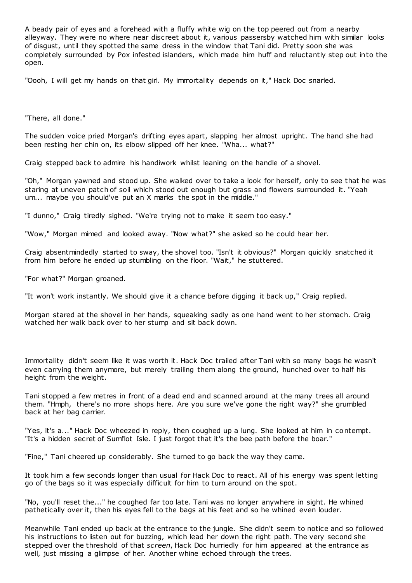A beady pair of eyes and a forehead with a fluffy white wig on the top peered out from a nearby alleyway. They were no where near discreet about it, various passersby watched him with similar looks of disgust, until they spotted the same dress in the window that Tani did. Pretty soon she was completely surrounded by Pox infested islanders, which made him huff and reluctantly step out into the open.

"Oooh, I will get my hands on that girl. My immortality depends on it," Hack Doc snarled.

"There, all done."

The sudden voice pried Morgan's drifting eyes apart, slapping her almost upright. The hand she had been resting her chin on, its elbow slipped off her knee. "Wha... what?"

Craig stepped back to admire his handiwork whilst leaning on the handle of a shovel.

"Oh," Morgan yawned and stood up. She walked over to take a look for herself, only to see that he was staring at uneven patch of soil which stood out enough but grass and flowers surrounded it. "Yeah um... maybe you should've put an X marks the spot in the middle."

"I dunno," Craig tiredly sighed. "We're trying not to make it seem too easy."

"Wow," Morgan mimed and looked away. "Now what?" she asked so he could hear her.

Craig absentmindedly started to sway, the shovel too. "Isn't it obvious?" Morgan quickly snatched it from him before he ended up stumbling on the floor. "Wait," he stuttered.

"For what?" Morgan groaned.

"It won't work instantly. We should give it a chance before digging it back up," Craig replied.

Morgan stared at the shovel in her hands, squeaking sadly as one hand went to her stomach. Craig watched her walk back over to her stump and sit back down.

Immortality didn't seem like it was worth it. Hack Doc trailed after Tani with so many bags he wasn't even carrying them anymore, but merely trailing them along the ground, hunched over to half his height from the weight.

Tani stopped a few metres in front of a dead end and scanned around at the many trees all around them. "Hmph, there's no more shops here. Are you sure we've gone the right way?" she grumbled back at her bag carrier.

"Yes, it's a..." Hack Doc wheezed in reply, then coughed up a lung. She looked at him in contempt. "It's a hidden secret of Sumflot Isle. I just forgot that it's the bee path before the boar."

"Fine," Tani cheered up considerably. She turned to go back the way they came.

It took him a few seconds longer than usual for Hack Doc to react. All of his energy was spent letting go of the bags so it was especially difficult for him to turn around on the spot.

"No, you'll reset the..." he coughed far too late. Tani was no longer anywhere in sight. He whined pathetically over it, then his eyes fell to the bags at his feet and so he whined even louder.

Meanwhile Tani ended up back at the entrance to the jungle. She didn't seem to notice and so followed his instructions to listen out for buzzing, which lead her down the right path. The very second she stepped over the threshold of that *screen*, Hack Doc hurriedly for him appeared at the entrance as well, just missing a glimpse of her. Another whine echoed through the trees.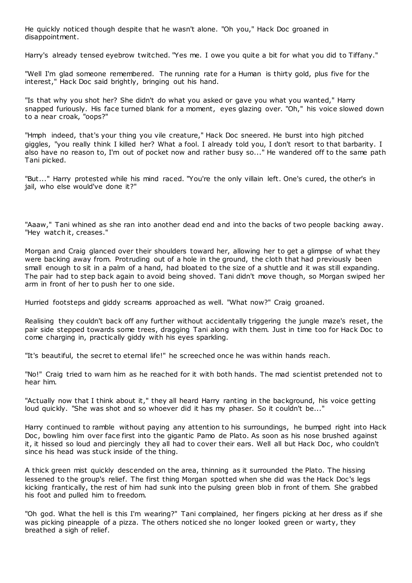He quickly noticed though despite that he wasn't alone. "Oh you," Hack Doc groaned in disappointment.

Harry's already tensed eyebrow twitched. "Yes me. I owe you quite a bit for what you did to Tiffany."

"Well I'm glad someone remembered. The running rate for a Human is thirty gold, plus five for the interest," Hack Doc said brightly, bringing out his hand.

"Is that why you shot her? She didn't do what you asked or gave you what you wanted," Harry snapped furiously. His face turned blank for a moment, eyes glazing over. "Oh," his voice slowed down to a near croak, "oops?"

"Hmph indeed, that's your thing you vile creature," Hack Doc sneered. He burst into high pitched giggles, "you really think I killed her? What a fool. I already told you, I don't resort to that barbarity. I also have no reason to, I'm out of pocket now and rather busy so..." He wandered off to the same path Tani picked.

"But..." Harry protested while his mind raced. "You're the only villain left. One's cured, the other's in jail, who else would've done it?"

"Aaaw," Tani whined as she ran into another dead end and into the backs of two people backing away. "Hey watch it, creases."

Morgan and Craig glanced over their shoulders toward her, allowing her to get a glimpse of what they were backing away from. Protruding out of a hole in the ground, the cloth that had previously been small enough to sit in a palm of a hand, had bloated to the size of a shuttle and it was still expanding. The pair had to step back again to avoid being shoved. Tani didn't move though, so Morgan swiped her arm in front of her to push her to one side.

Hurried footsteps and giddy screams approached as well. "What now?" Craig groaned.

Realising they couldn't back off any further without accidentally triggering the jungle maze's reset, the pair side stepped towards some trees, dragging Tani along with them. Just in time too for Hack Doc to come charging in, practically giddy with his eyes sparkling.

"It's beautiful, the secret to eternal life!" he screeched once he was within hands reach.

"No!" Craig tried to warn him as he reached for it with both hands. The mad scientist pretended not to hear him.

"Actually now that I think about it," they all heard Harry ranting in the background, his voice getting loud quickly. "She was shot and so whoever did it has my phaser. So it couldn't be..."

Harry continued to ramble without paying any attention to his surroundings, he bumped right into Hack Doc , bowling him over face first into the gigantic Pamo de Plato. As soon as his nose brushed against it, it hissed so loud and piercingly they all had to cover their ears. Well all but Hack Doc, who couldn't since his head was stuck inside of the thing.

A thick green mist quickly descended on the area, thinning as it surrounded the Plato. The hissing lessened to the group's relief. The first thing Morgan spotted when she did was the Hack Doc's legs kicking frantically, the rest of him had sunk into the pulsing green blob in front of them. She grabbed his foot and pulled him to freedom.

"Oh god. What the hell is this I'm wearing?" Tani complained, her fingers picking at her dress as if she was picking pineapple of a pizza. The others noticed she no longer looked green or warty, they breathed a sigh of relief.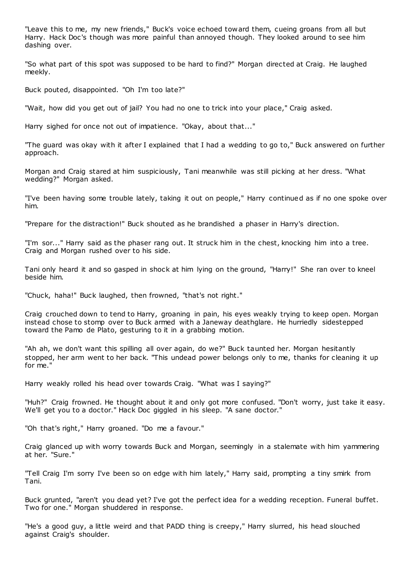"Leave this to me, my new friends," Buck's voice echoed toward them, cueing groans from all but Harry. Hack Doc's though was more painful than annoyed though. They looked around to see him dashing over.

"So what part of this spot was supposed to be hard to find?" Morgan directed at Craig. He laughed meekly.

Buck pouted, disappointed. "Oh I'm too late?"

"Wait, how did you get out of jail? You had no one to trick into your place," Craig asked.

Harry sighed for once not out of impatience. "Okay, about that..."

"The guard was okay with it after I explained that I had a wedding to go to," Buck answered on further approach.

Morgan and Craig stared at him suspiciously, Tani meanwhile was still picking at her dress. "What wedding?" Morgan asked.

"I've been having some trouble lately, taking it out on people," Harry continued as if no one spoke over him.

"Prepare for the distraction!" Buck shouted as he brandished a phaser in Harry's direction.

"I'm sor..." Harry said as the phaser rang out. It struck him in the chest, knocking him into a tree. Craig and Morgan rushed over to his side.

Tani only heard it and so gasped in shock at him lying on the ground, "Harry!" She ran over to kneel beside him.

"Chuck, haha!" Buck laughed, then frowned, "that's not right."

Craig crouched down to tend to Harry, groaning in pain, his eyes weakly trying to keep open. Morgan instead chose to stomp over to Buck armed with a Janeway deathglare. He hurriedly sidestepped toward the Pamo de Plato, gesturing to it in a grabbing motion.

"Ah ah, we don't want this spilling all over again, do we?" Buck taunted her. Morgan hesitantly stopped, her arm went to her back. "This undead power belongs only to me, thanks for cleaning it up for me."

Harry weakly rolled his head over towards Craig. "What was I saying?"

"Huh?" Craig frowned. He thought about it and only got more confused. "Don't worry, just take it easy. We'll get you to a doctor." Hack Doc giggled in his sleep. "A sane doctor."

"Oh that's right," Harry groaned. "Do me a favour."

Craig glanced up with worry towards Buck and Morgan, seemingly in a stalemate with him yammering at her. "Sure."

"Tell Craig I'm sorry I've been so on edge with him lately," Harry said, prompting a tiny smirk from Tani.

Buck grunted, "aren't you dead yet? I've got the perfect idea for a wedding reception. Funeral buffet. Two for one." Morgan shuddered in response.

"He's a good guy, a little weird and that PADD thing is creepy," Harry slurred, his head slouched against Craig's shoulder.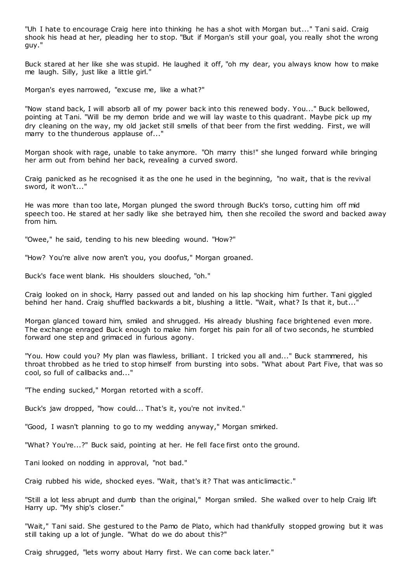"Uh I hate to encourage Craig here into thinking he has a shot with Morgan but..." Tani said. Craig shook his head at her, pleading her to stop. "But if Morgan's still your goal, you really shot the wrong guy."

Buck stared at her like she was stupid. He laughed it off, "oh my dear, you always know how to make me laugh. Silly, just like a little girl."

Morgan's eyes narrowed, "excuse me, like a what?"

"Now stand back, I will absorb all of my power back into this renewed body. You..." Buck bellowed, pointing at Tani. "Will be my demon bride and we will lay waste to this quadrant. Maybe pick up my dry cleaning on the way, my old jacket still smells of that beer from the first wedding. First, we will marry to the thunderous applause of..."

Morgan shook with rage, unable to take anymore. "Oh marry this!" she lunged forward while bringing her arm out from behind her back, revealing a curved sword.

Craig panicked as he recognised it as the one he used in the beginning, "no wait, that is the revival sword, it won't..."

He was more than too late, Morgan plunged the sword through Buck's torso, cutting him off mid speech too. He stared at her sadly like she betrayed him, then she recoiled the sword and backed away from him.

"Owee," he said, tending to his new bleeding wound. "How?"

"How? You're alive now aren't you, you doofus," Morgan groaned.

Buck's face went blank. His shoulders slouched, "oh."

Craig looked on in shock, Harry passed out and landed on his lap shocking him further. Tani giggled behind her hand. Craig shuffled backwards a bit, blushing a little. "Wait, what? Is that it, but..."

Morgan glanced toward him, smiled and shrugged. His already blushing face brightened even more. The exchange enraged Buck enough to make him forget his pain for all of two seconds, he stumbled forward one step and grimaced in furious agony.

"You. How could you? My plan was flawless, brilliant. I tricked you all and..." Buck stammered, his throat throbbed as he tried to stop himself from bursting into sobs. "What about Part Five, that was so cool, so full of callbacks and..."

"The ending sucked," Morgan retorted with a sc off.

Buck's jaw dropped, "how could... That's it, you're not invited."

"Good, I wasn't planning to go to my wedding anyway," Morgan smirked.

"What? You're...?" Buck said, pointing at her. He fell face first onto the ground.

Tani looked on nodding in approval, "not bad."

Craig rubbed his wide, shocked eyes. "Wait, that's it? That was anticlimactic ."

"Still a lot less abrupt and dumb than the original," Morgan smiled. She walked over to help Craig lift Harry up. "My ship's closer."

"Wait," Tani said. She gestured to the Pamo de Plato, which had thankfully stopped growing but it was still taking up a lot of jungle. "What do we do about this?"

Craig shrugged, "lets worry about Harry first. We can come back later."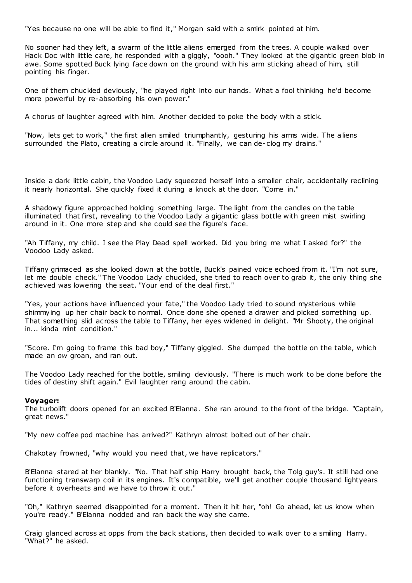"Yes because no one will be able to find it," Morgan said with a smirk pointed at him.

No sooner had they left, a swarm of the little aliens emerged from the trees. A couple walked over Hack Doc with little care, he responded with a giggly, "oooh." They looked at the gigantic green blob in awe. Some spotted Buck lying face down on the ground with his arm sticking ahead of him, still pointing his finger.

One of them chuckled deviously, "he played right into our hands. What a fool thinking he'd become more powerful by re-absorbing his own power."

A chorus of laughter agreed with him. Another decided to poke the body with a stick.

"Now, lets get to work," the first alien smiled triumphantly, gesturing his arms wide. The aliens surrounded the Plato, creating a circle around it. "Finally, we can de-clog my drains."

Inside a dark little cabin, the Voodoo Lady squeezed herself into a smaller chair, accidentally reclining it nearly horizontal. She quickly fixed it during a knock at the door. "Come in."

A shadowy figure approached holding something large. The light from the candles on the table illuminated that first, revealing to the Voodoo Lady a gigantic glass bottle with green mist swirling around in it. One more step and she could see the figure's face.

"Ah Tiffany, my child. I see the Play Dead spell worked. Did you bring me what I asked for?" the Voodoo Lady asked.

Tiffany grimaced as she looked down at the bottle, Buck's pained voice echoed from it. "I'm not sure, let me double check." The Voodoo Lady chuckled, she tried to reach over to grab it, the only thing she achieved was lowering the seat. "Your end of the deal first."

"Yes, your actions have influenced your fate," the Voodoo Lady tried to sound mysterious while shimmying up her chair back to normal. Once done she opened a drawer and picked something up. That something slid across the table to Tiffany, her eyes widened in delight. "Mr Shooty, the original in... kinda mint condition."

"Score. I'm going to frame this bad boy," Tiffany giggled. She dumped the bottle on the table, which made an *ow* groan, and ran out.

The Voodoo Lady reached for the bottle, smiling deviously. "There is much work to be done before the tides of destiny shift again." Evil laughter rang around the cabin.

#### **Voyager:**

The turbolift doors opened for an excited B'Elanna. She ran around to the front of the bridge. "Captain, great news."

"My new coffee pod machine has arrived?" Kathryn almost bolted out of her chair.

Chakotay frowned, "why would you need that, we have replicators."

B'Elanna stared at her blankly. "No. That half ship Harry brought back, the Tolg guy's. It still had one functioning transwarp coil in its engines. It's compatible, we'll get another couple thousand lightyears before it overheats and we have to throw it out."

"Oh," Kathryn seemed disappointed for a moment. Then it hit her, "oh! Go ahead, let us know when you're ready." B'Elanna nodded and ran back the way she came.

Craig glanced across at opps from the back stations, then decided to walk over to a smiling Harry. "What?" he asked.